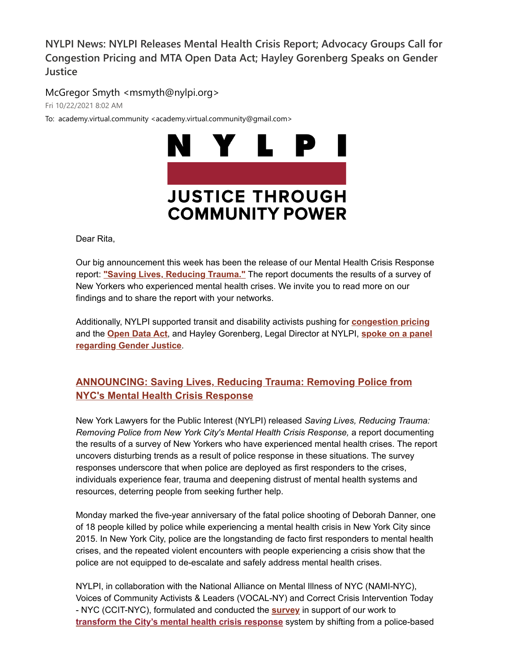**NYLPI News: NYLPI Releases Mental Health Crisis Report; Advocacy Groups Call for Congestion Pricing and MTA Open Data Act; Hayley Gorenberg Speaks on Gender Justice** 

McGregor Smyth <msmyth@nylpi.org>

Fri 10/22/2021 8:02 AM

To: academy.virtual.community <academy.virtual.community@gmail.com>



# **JUSTICE THROUGH COMMUNITY POWER**

Dear Rita,

Our big announcement this week has been the release of our Mental Health Crisis Response report: **["](https://nam02.safelinks.protection.outlook.com/?url=https%3A%2F%2Fu1584542.ct.sendgrid.net%2Fss%2Fc%2FatcYNHk4Eh2YdGnwBh-YDB5vZTx8yKI0e0nZek66C2X9GV1_9lPUA9Etev5_qv9cnZlaV4zTFQmpj1iywl9MXv6XGQMI0A7FZ5KXI60YgY3Sq8r15YCGD24Ym3zlAlP2vETuzJBY5KWUJjNevHQxvJlU9X0u3v6oLRcVepQTl0O1IVP01EZ6WxKebIUGKdyY2oiSYO00YKyiQWBX-LZ-tcwjYLBJrzmNb1Bo9lBVfnaO8Po71HFoI8Klgt6fXxkr5rMbiC9M7Q3A8IjMqfOSgWs3SBlTHz3lXANnXBoGYMlxCc81ZpBAyxGUufpftQERh78Gj4IRl0PlUcZk0E_U0qGnanrOCY8jQuHFP3vQ3rmWvTdXpv5_FvydDdgtwZ_XRMav-8RHHIIpbXMqliy1c3ygLr13kw-gVPRCbMrrhxQQtdFWubVG7ZADX47nVJp906-BPFo2SPTj5DsSM0dd-zbp_L3I5wGKB5jQvM6JHLdw5MNU-Ek8NjrVXo0yGSglHoJWr0wuwxyrT-4CxjYJU32nQFgk9IER5zP7iuVcNN2EEIQiJnoJRF2q3OfXUnaEdYEKk5-rXD1DWnCT-WMhsjL6ccztWnjSXvPG6TqM_bQKEm0kR_3uI2vtiAy3PFT_x4qbJnjK3ufg7L0Svuaj8VYtWMW40b_F03oPkRU0UaGnUpC0aOACFJ_J3YT-9rP-EagVj3OGsr4CmBJ28gMov6AqowY0tn54ZvBiEyHxo1D8gcN_EPmWUZYpiaqoZV0NmF0-5yzezDSLCwkdqSIHLQ%2F3gd%2FTB8d_DnkQjaR8FQpvc307w%2Fh1%2FHNS1fnGLMWDSYSti4Fx8uBjF-KHNIjnav3lV8x0ZN8s&data=04%7C01%7Crmc277%40shp.rutgers.edu%7C0f7d74274b164f928f0608d99553c0ad%7Cb92d2b234d35447093ff69aca6632ffe%7C1%7C0%7C637705009566876051%7CUnknown%7CTWFpbGZsb3d8eyJWIjoiMC4wLjAwMDAiLCJQIjoiV2luMzIiLCJBTiI6Ik1haWwiLCJXVCI6Mn0%3D%7C3000&sdata=Agwm2X78xCKantTl3x42hZ3kRMv1M5MrnNuRCt0K98Y%3D&reserved=0)[Saving Lives, Reducing Trauma.](https://nam02.safelinks.protection.outlook.com/?url=https%3A%2F%2Fu1584542.ct.sendgrid.net%2Fss%2Fc%2FatcYNHk4Eh2YdGnwBh-YDB5vZTx8yKI0e0nZek66C2X9GV1_9lPUA9Etev5_qv9cnZlaV4zTFQmpj1iywl9MXv6XGQMI0A7FZ5KXI60YgY3Sq8r15YCGD24Ym3zlAlP2vETuzJBY5KWUJjNevHQxvG812nkF9GQbe6kiHRBLKL-mzerd43qeHjfMta-V9t6yVBF4KxRALY6S5Irspt_ueZJ32hzo65DQoubnoJAyMGlyLa3Ilx5jV62iV1QGWCWzmRGJx8R1GpC3TElPQsq3dOoOgXS11Xs4qyoow1NVXUamXPlbVXdP06T2aDi7TqP31Jt5zNfQN1hHOGgNLTMlQd_1cJ9ZyUaSRipSOChJWH9H9trCgYw0aMnEPjukAxHxqGE8y0M4jjAhhngg-Pj35At_Yln39t0vUyqp_hkol92k_zHWSp-sGQPveNJgWS9IktGJIS6x36ipyHOivtkzD5iNJdKeqOTyFOx-9A8VKuOyWxlJI1Jha4sQUDPSvQJm0iDSVRYiqqEThtncVPNOka0BQTmBPgzanq7w9PQiRsOs4_mJbIytgzLabMjFu5yDRdzymIxOGX1NJF0sC8JQbXeuHLShYC086FiQLSdVgbOJzTL4D2cNxoA5Z5Y9LExeqj-oC4Mc8T8h8CZw_kcmBdj3lnHbgD-oF2xgcx1SpKHcwl7dhIybSYYFsq0Hw9LKC7vFFK364lBSaAuj3RNfcZB-D1hoqU6iLpkR6b4nTWTugtgzP7aYS9DnID8Mc6wBvktT-Dsxkw0xyNAOc-xKQg%2F3gd%2FTB8d_DnkQjaR8FQpvc307w%2Fh2%2FEWvaJbTpRy3wyi0Ja_kR1drvCIosHMQ7-3TsynxF-RE&data=04%7C01%7Crmc277%40shp.rutgers.edu%7C0f7d74274b164f928f0608d99553c0ad%7Cb92d2b234d35447093ff69aca6632ffe%7C1%7C0%7C637705009566876051%7CUnknown%7CTWFpbGZsb3d8eyJWIjoiMC4wLjAwMDAiLCJQIjoiV2luMzIiLCJBTiI6Ik1haWwiLCJXVCI6Mn0%3D%7C3000&sdata=yyLYhWpw3vZxLRa1C83uL0TJIUCtgjN9BBNhgqkEzWs%3D&reserved=0)["](https://nam02.safelinks.protection.outlook.com/?url=https%3A%2F%2Fu1584542.ct.sendgrid.net%2Fss%2Fc%2FatcYNHk4Eh2YdGnwBh-YDB5vZTx8yKI0e0nZek66C2X9GV1_9lPUA9Etev5_qv9cnZlaV4zTFQmpj1iywl9MXv6XGQMI0A7FZ5KXI60YgY3Sq8r15YCGD24Ym3zlAlP2vETuzJBY5KWUJjNevHQxvFNgz9DPeye4c76abOaxeKYhYI2eKe3hY_M1c3bfdqOWJ17OJ7e6zdVp9317dH9BmFmn6QuJwQa1YBf_CKvOq9ELZAejlzcsXqfPuap0RAsNx8uLLxJV4-5nzy1TeailJ2QYeSUc8PRc349pjccye2g7EIxXvcJnByO9_m1ejHJC41qOVdGtkWO0_VRpxI3EOug8f_swxOibV3ZVjdoiJwt-DCw_PdGowv2wuIY5xzV4iX2Pu3NHoWSeKulqMi54dMi6hr0W_hSJmpr3OlfFP_e6MUwQB9wkBHIKMwj3TOM3echoub49etZ1v5jGV5UOUFFmmj2QZT1aoN84g_ZghK_uA4kHdCoEKt9DRWyIiCxC1NFTHIFkBW_mh2Dol4mE3VPbwTzdoL-lg7_mCv2ghX0pe0NFaQcROWAcplVbX1VHeEw5gwBfOC9-HZgdtq69cnM-O1ZS9iTlNK0KUc7eDlPqNy6UQcs6FQT-lz3Xmh9nnaCGpvlLna4NXp_tYWl6M0VBNlBMmunpR-HszOfIadQJNyk36R6bHEB2uqCf9rd3y2SvloZwX_qg3jiBELKqT5YOroFJW5v68SnsUFyZVKrrms3KTQ80fUmDH8xymDTNB4YLoOoDJxx26lW1YV2pmA%2F3gd%2FTB8d_DnkQjaR8FQpvc307w%2Fh3%2FuBLFavzw815azSCvOJVpxeNVpygBGTsug-bVvvPxE2o&data=04%7C01%7Crmc277%40shp.rutgers.edu%7C0f7d74274b164f928f0608d99553c0ad%7Cb92d2b234d35447093ff69aca6632ffe%7C1%7C0%7C637705009566886007%7CUnknown%7CTWFpbGZsb3d8eyJWIjoiMC4wLjAwMDAiLCJQIjoiV2luMzIiLCJBTiI6Ik1haWwiLCJXVCI6Mn0%3D%7C3000&sdata=YoOaf4KZFWYPErontO5SUHjpIuvkuLzTwIlrmPB%2FYPk%3D&reserved=0)** The report documents the results of a survey of New Yorkers who experienced mental health crises. We invite you to read more on our findings and to share the report with your networks.

Additionally, NYLPI supported transit and disability activists pushing for **[congestion pricing](https://nam02.safelinks.protection.outlook.com/?url=https%3A%2F%2Fu1584542.ct.sendgrid.net%2Fss%2Fc%2FatcYNHk4Eh2YdGnwBh-YDO2rLUIhZr596VV3ZzAQrFWiOzBtCreDCOqTanGv55gW8uh1X6MyccVkXtd0rc4JcVGjxZ4vYLO4iUlsMxStD6JU5lmIUR4aMSo50a0SAbG7Q3JBCz7GAXOsb7IDiWXCVAvomyv6OvmvDTvBu9YosV9uplLHCiJAfFKOM8ue2xhtzg8QFgzL1nJkXjshfB7CgK5Xn0FDumH6p37alrWPnf3QdvQ2-R_CStDpkGCKg_RvyvED-GTS6M6LHzqyAUXUdUvPRwleXYKdC-wEJNZv-CyTVXnyFQa6eMXYzJD5Hj1956bhw0zNlVWarVJoYhyVKznzIbvCwvRpIlBYD3NgP2PGe1DiSoLg9umqUWX8VOF7JSwlmxILHPw53i7l-x1iGa0OX8QEaXJSm-ibY-1oJ4dQyJA6OTVCx6CdzxJ8R6ElPhYr3Rrz4l6t2vKHy987l0napVi4BRE9sN_qZOC-1KFfCHdRDFkKkuKi4aarboOsIcnFyYzeT-j9MwXyIkLcZI141P76kLsgM-YbjTBVawpcAaXb_MXHddJa8ilfqq0mvI2rR6YwKN_nj7XKzim4tmNsNA_nPGxZ5P0z4Oi0bSdDaDeMxJhIfqCMqsne6fBi1GSdY0JYXnY0W8GshK0MNRA9MT3yFH8jY8umUkEvhypnyq0FGWblWtkfvH6S7_hITY566GVbDMf7QzW-0OiUDa84j5_tshBUp_fi7ckpFQo%2F3gd%2FTB8d_DnkQjaR8FQpvc307w%2Fh4%2FMKtSj2WG9URjDnDZMivW9JOtTsQ_g7G-rLeFO09UvTM&data=04%7C01%7Crmc277%40shp.rutgers.edu%7C0f7d74274b164f928f0608d99553c0ad%7Cb92d2b234d35447093ff69aca6632ffe%7C1%7C0%7C637705009566895964%7CUnknown%7CTWFpbGZsb3d8eyJWIjoiMC4wLjAwMDAiLCJQIjoiV2luMzIiLCJBTiI6Ik1haWwiLCJXVCI6Mn0%3D%7C3000&sdata=nRLvVb0vP0Gg8mG34prPtG1YptE0FDd%2BDqvloMyHjqE%3D&reserved=0)** and the **[Open Data Act](https://nam02.safelinks.protection.outlook.com/?url=https%3A%2F%2Fu1584542.ct.sendgrid.net%2Fss%2Fc%2FatcYNHk4Eh2YdGnwBh-YDNGABRI5fC7j8mQBGMOZaIyWHlPuolgJIO34QoWYpLk6fSoKxlZNZdY4Cl_IthfFmQtFdSGY7ohApXFo0E2WB5e_244p5fr9BTLc4n3oixgaFWVPni9_g6rF-KAVehNBmhNrqKfp6zUZ9iHZtUBoMqBrBhL6UvptJYIW6L6R2Cb-Tu7V9QN9Xnfx8xTK9Y98wPs0X93vkSj9mkqiLPnDZBo5zv3uuK2RmXPEDjKumPvIDXls1AvXr92MNMT7DK_D1E-KuCYvlw44pfmFliRNTihz6nWmxZA8-L4K7ACZsM7O4pMUjFhGEPW1Czj6CKCATD3jjpnY0v1r5K4i3bszwlVZTRsu3ZDMI2ufBRflKYRIvQpy3zOrHizQKDuuHKphSDoiYRkCzvmWkp6EP8icjYzP6aZrUGrinC7OLPAAyUFOnps-S7MTfUnCI1Ko2BKtlgmDoKa5_JPS9L_iX9ba6vvn9qKN5VYTIFPkKh3NsK4ZlKCbU0QkMMSpSdwYN5Fvsf9oDZk-SxQi6EOtgXd2UnT4hUatZVEpnGJexMpwkcLxwrxVsqv36oAJIjaQoQCpurhCoWSm_UPELaNP8waWItoklwd4e_Z9DJhjwsjctly7auBPUfdYXkx0Xk2tGMo5zvbAT0UwaHzX0K9kgG_E_7TJPpM88XEUKPNoJ_7sVIpbZbfOHW34SsfpBTsRJUv-V6EGaMR8arsNqk5OisZFndo%2F3gd%2FTB8d_DnkQjaR8FQpvc307w%2Fh5%2Fiw2OXbmEJvPr3_dr7oJDzWgxL8qAE-_8XQR-o8VXYB0&data=04%7C01%7Crmc277%40shp.rutgers.edu%7C0f7d74274b164f928f0608d99553c0ad%7Cb92d2b234d35447093ff69aca6632ffe%7C1%7C0%7C637705009566895964%7CUnknown%7CTWFpbGZsb3d8eyJWIjoiMC4wLjAwMDAiLCJQIjoiV2luMzIiLCJBTiI6Ik1haWwiLCJXVCI6Mn0%3D%7C3000&sdata=ZJXO7eARyUIgeB%2BCaK5dC%2BSR6kFjYVRwy6OEM7bHKjE%3D&reserved=0)**, [and Hayley Gorenberg, Legal Director at NYLPI,](https://nam02.safelinks.protection.outlook.com/?url=https%3A%2F%2Fu1584542.ct.sendgrid.net%2Fss%2Fc%2FatcYNHk4Eh2YdGnwBh-YDI0lb23qCWdimvIWWMQiY3Qt5wgsnKEA3-lniLIzd4mNLZbftnUZBmnMKJK6Y7MioW9q5Z-m_EjBG9Odp9I6pL8HNEA3votWV2MQWaVtDmeLNxNeP1IlThrQNZZHiv52zBuzogNaDD8_On9r7n3k0tT36s3ycyQ0miHPx0cp_0FqulaxOFj6DCQbi7QV8xb4vRGRginwt0xw3rdH2IERZi9J-LgNGGPIV6wd8Idt23Uo5jm0k5sY-L2l5gD5zAEQSTUOvqUy-MnbpRrXI9bgpfx0O7MJf4DO__6PXLzb6wbX81Qpe-0s--CIqdi6BTOa_X9S2E68MYYnqDaqVE-bWiG-lwWenGIUt6jkgkw9fHwzyiq-asr3RgBzaucdEKuaril83jG5SfTZZGkyVjnWKyOcsXM94H5AAc8FRT2r3mU_51UE4lZxIoPl7c0UCbi6piVjIM13nCVWaBTWIAKuWuzFnjCksvzuEh0J5zzHaHePDJb-hZn0eG4T0MBwAHTCTZpnfzEbZ8kezmTopeqx7szx4uCRqaJl8H8WLQwHwXBDeCZsxrsmdmxhtHGPh1FemR4OJOJdYHwEjlJyPKzc0-NPLZKhzmkvbRvyBNziSdT1v8hz4OJZkZjbdTVqm49R5CCRIDBorEm4vq9Ul8-54fz3BLkOf6wT2jYnfnu074aauEq0wtlVs_TDKJG8DIU8JKzsZKKc3x3SoW9N3VwKIHo%2F3gd%2FTB8d_DnkQjaR8FQpvc307w%2Fh6%2FjSVfAb0quKIw9qV17BsOIYKDcj2WSVRkE5nRRtyg2DU&data=04%7C01%7Crmc277%40shp.rutgers.edu%7C0f7d74274b164f928f0608d99553c0ad%7Cb92d2b234d35447093ff69aca6632ffe%7C1%7C0%7C637705009566905917%7CUnknown%7CTWFpbGZsb3d8eyJWIjoiMC4wLjAwMDAiLCJQIjoiV2luMzIiLCJBTiI6Ik1haWwiLCJXVCI6Mn0%3D%7C3000&sdata=8pEBGmDTZ0tWTw%2F7UbyBCmPD2i2P6dR1wPLaN6nVGzI%3D&reserved=0) **spoke on a panel regarding Gender Justice**.

# **[ANNOUNCING: Saving Lives, Reducing Trauma: Removing Police from](https://nam02.safelinks.protection.outlook.com/?url=https%3A%2F%2Fu1584542.ct.sendgrid.net%2Fss%2Fc%2FatcYNHk4Eh2YdGnwBh-YDB5vZTx8yKI0e0nZek66C2X9GV1_9lPUA9Etev5_qv9cnZlaV4zTFQmpj1iywl9MXv6XGQMI0A7FZ5KXI60YgY3Sq8r15YCGD24Ym3zlAlP2vETuzJBY5KWUJjNevHQxvKsiitF9zzcta5CaSlqXAezoWlOv8YsNMm-zJLHaRByvMIH5QHulKvTP_Dr9EwNcs3n7KssV7UFD8RQds1AePgr39uwD2gt1qmVULrWZvl22W5DXNgHPpX0wOQ5-Nom2rwANadgxDMA4Q3WijiMHj9lNbQn_GfdEYbDZAE-M5KfB1Zn15W82XgUPNhiJw_RPZ8V4GLyEVXlSa1-aIJOk-R0OyiHyZ0IzkyijM56cOGzcYspJTINHw073Fmsk4Vb3S9BSiit9HcLvGAg2chygxj0mJf9BdydxwB-c3Uv68qqDfCPxkS0Valk_4jLMQJLCnjmCdh69tBAkgPB4H0LqJTjVDpCg_xM5NOPvB8M-CSNxW2ZFfw-rHosiw7yKtRP0gcCEu0FGuFjVpftV0E5Zrq0d1aXQZPie7KzXLFpjYt4sSMWrDLRieINIZZ3doW0NzpNz49hC4POWlYpqNYXO9IuDWtTDvdSE5I1bGzI8-dYx5zjgI840j5UfkNP2_e6YU9HbmfkbGXGUjq_8oi_efrHz0rNvK6yJ3Vt9UmCK4hv_UhiAljdLhDegBI0pw4UgMQj0EHwMWsbu-dLFxEDbjIGbMmx-dxLDlW6cqxA70BvcdgKqF8q0gJdzI2z4BqNLzQ%2F3gd%2FTB8d_DnkQjaR8FQpvc307w%2Fh7%2FRklZsRl3U_uVeR5btdHdSzf9HXrZtXeUARTigKgfot0&data=04%7C01%7Crmc277%40shp.rutgers.edu%7C0f7d74274b164f928f0608d99553c0ad%7Cb92d2b234d35447093ff69aca6632ffe%7C1%7C0%7C637705009566915876%7CUnknown%7CTWFpbGZsb3d8eyJWIjoiMC4wLjAwMDAiLCJQIjoiV2luMzIiLCJBTiI6Ik1haWwiLCJXVCI6Mn0%3D%7C3000&sdata=o86MD3q844RnQu9yWyjH%2FQYfO3jKDA3FO%2Fq6zkGKgeQ%3D&reserved=0) NYC's Mental Health Crisis Response**

New York Lawyers for the Public Interest (NYLPI) released *Saving Lives, Reducing Trauma: Removing Police from New York City's Mental Health Crisis Response,* a report documenting the results of a survey of New Yorkers who have experienced mental health crises. The report uncovers disturbing trends as a result of police response in these situations. The survey responses underscore that when police are deployed as first responders to the crises, individuals experience fear, trauma and deepening distrust of mental health systems and resources, deterring people from seeking further help.

Monday marked the five-year anniversary of the fatal police shooting of Deborah Danner, one of 18 people killed by police while experiencing a mental health crisis in New York City since 2015. In New York City, police are the longstanding de facto first responders to mental health crises, and the repeated violent encounters with people experiencing a crisis show that the police are not equipped to de-escalate and safely address mental health crises.

NYLPI, in collaboration with the National Alliance on Mental Illness of NYC (NAMI-NYC), Voices of Community Activists & Leaders (VOCAL-NY) and Correct Crisis Intervention Today - NYC (CCIT-NYC), formulated and conducted the **[survey](https://nam02.safelinks.protection.outlook.com/?url=https%3A%2F%2Fu1584542.ct.sendgrid.net%2Fss%2Fc%2FatcYNHk4Eh2YdGnwBh-YDKQ0WLljMXBHKNvoe0xW9aGfAyckVCzsWcpLwtbkWEMHMwotbNfQcWaF-nL6fWLkvq_D2j4cWokfHQoNSuZ3FjXfVwfeEmQNvP_U7wsmTvRR7XZE2YlMxjtoC7fDHU4p6OCM9vsY-5vmWVjJMbHHGqZCuclFK6tfvOT1rrxRcKc5rw4xAChUczl6txMaLGEibs7cdPWDUF2xEKw_Q-iyLIu1RxYGKFJJKJu_jn4ZQ1pFFrSejLJ5Wm0WtjDN6jwZzcBG5pKKBsPqO92R0-QoU6XKRB8SJ5sfwEFwRdoeaxoDNaA9_DWINRTB7oaLikVpShJanMjK9u-_afxCnk5wvTDbN4YzwM81xuK0SSR-L8yrPT7m0Fv_rJgv7EPX3qejWqP7wq7vY04kLEClVx8wKY0N00ERYEFgZj2cjUQ9-EAaKUp2IMXlwxuL-XGL1MYytJcZ5Ji-I-3GepkTMyLNf0EfFuvGg7UGj6rtOHeDJXCdcPS_nrbRBjRFORYjKTSflsZokhh-T9j0Fwr5ZPs8zzoTYGPVLQjR5QnQSZWn1p-nciobXA6bmbMaACp34PALZLMKhnHhLEINSARx53RwpY5_5-CPf_rw9hyh36_WRXqeLyptCSHixvcddD5iZ05EiF6Jhzv6uRpPl8CTYVta73ZzPCmrajTsVMOhbftjdCVk9_WTON2EOmqgGLZhrsOJG3dilnPvs3dOA7f_7KLYfO_7sfAdXXmZIWcyVXHlmRCRDV8TS2hi_W_3uxlhN7MOahVSHdL3zh5HLcd6JIUmqHE%2F3gd%2FTB8d_DnkQjaR8FQpvc307w%2Fh8%2FwteODF4mZTpZ_JKew79GAPjLhhHC48Mm2q1mLHk6owU&data=04%7C01%7Crmc277%40shp.rutgers.edu%7C0f7d74274b164f928f0608d99553c0ad%7Cb92d2b234d35447093ff69aca6632ffe%7C1%7C0%7C637705009566925832%7CUnknown%7CTWFpbGZsb3d8eyJWIjoiMC4wLjAwMDAiLCJQIjoiV2luMzIiLCJBTiI6Ik1haWwiLCJXVCI6Mn0%3D%7C3000&sdata=EW%2FOxTRJqmzPSYZ38NJaDYul%2Bl1lsI%2FmAElGQ5xYd3M%3D&reserved=0)** in support of our work to **[transform the City's mental health crisis response](https://nam02.safelinks.protection.outlook.com/?url=https%3A%2F%2Fu1584542.ct.sendgrid.net%2Fss%2Fc%2FatcYNHk4Eh2YdGnwBh-YDEjqsRIhbXue8iggvBc9H_xu1NGmgLKoUuW2Rw6v9Rv1KxoAqRdZwX60sOo2zv7sI4vyEkECZ1skwvvgHL-f2qHKzVcVpE3Ocq6fxYc0dxS2sZMZojH5EagIUDgzZRwQwb54sCmyHlpjrC8VmJatsdXmB9VHZnORln2_SIg4JZWIDBHFuhooG1U880wyGuTF_3Tb-dRJL-jRNpW1zumJ6rUeNkY2NHqTey0NzmozROZvU-LZxuGthDLY-gtbSfEpEPESa6RtUmhuU6yn2fiCCS8XS6z0PnEsl0yOLZL9P_S9cywwgfXcoiSi-ZPa3VsPd22B-PSM-4WtMZNLN6kvj78xNxuFbYtaroVG479a0sSlC0BqfmZaZxhj0bsyC2DfA0Lqd1YxZ0yOtPRZRomcXB7x-jRte5AbGO2VYHzYns1XZ2fJXUdDRjY8yAkgYRAMhIcRRCqpbM1wRZM8mw1paq3ZvN5gGWTWKy1x3-wd2e-OowbWQCHPVbMLiuQ2aqehsWhE7weS2g2LYhXwip5JtleL703yX8jCNqJJx8jshHsC_kt009BlZkHxMsx9LqO_mqaHFQrd5oAIPrSgRvIVWwcIfCNbGlj8Y0NTjaj_h9bLkepZ0kqrlfc58pOsviPuFJKgCEbLDSB06REHF7jWThzZ7i9vvWKHX5zL1XWO2RnoHMUzd9Jx26fPDieNtdrwK29tXClNg6MIHkQ1Wy7MRNQ%2F3gd%2FTB8d_DnkQjaR8FQpvc307w%2Fh9%2FSzKwf5TopES87BPcQyOxbkSWvQfkwurotyOITA-Jc0w&data=04%7C01%7Crmc277%40shp.rutgers.edu%7C0f7d74274b164f928f0608d99553c0ad%7Cb92d2b234d35447093ff69aca6632ffe%7C1%7C0%7C637705009566925832%7CUnknown%7CTWFpbGZsb3d8eyJWIjoiMC4wLjAwMDAiLCJQIjoiV2luMzIiLCJBTiI6Ik1haWwiLCJXVCI6Mn0%3D%7C3000&sdata=1zLlSuMWPX27ZBTZE%2BfTwxEthjSt4wq1I8TiOS5oUno%3D&reserved=0)** system by shifting from a police-based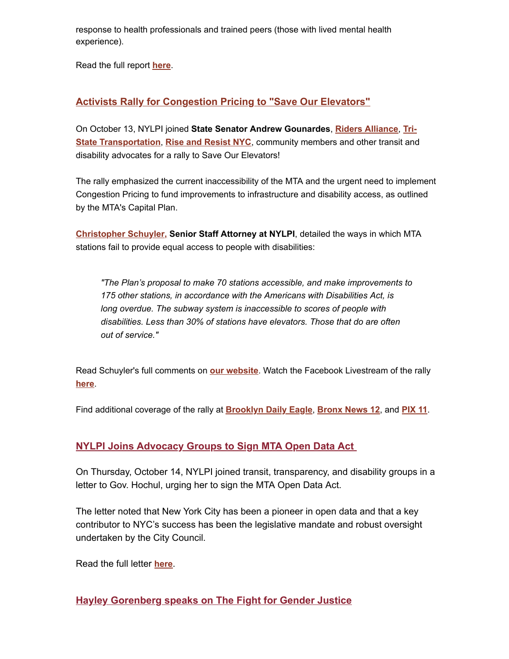response to health professionals and trained peers (those with lived mental health experience).

Read the full report **[here](https://nam02.safelinks.protection.outlook.com/?url=https%3A%2F%2Fu1584542.ct.sendgrid.net%2Fss%2Fc%2FatcYNHk4Eh2YdGnwBh-YDNsp4_aJNG3Gz1fmg6du36CzuCXLlQnqopPRG-23aIWTzYswBzvDdS3lUgznOTBT6Tadx7dlZ0aiOrG9egVn9kmFMrsRPHPuekQMY_Sgy4Bi9x1fvwqO0TinLaEArkG3NphxKJUJDnW7ATRgidWDPUBNqjuik9UQij4HuXsBIymC3iYOc5ZLwLfGVYJu4HGV0ITZkZIPWQanxhbdnCK7GVlnW0AkXeCU0mThEMEPb7v7fvNtC9mUJ9v9SN9E2jk44UO_L9Vm3NknC0X-aKV3pUeUezDuEdCJL4EevFNVPrpyf1ebBMG36Url_ntewVNWwe8f6aajQ-015VD0S3-WbdbE7twhfTPM5zWDO5F2yX-p1ErHLJsI7-T9e7_8b0IOhO2k03SCjlZhGnfoMtp4eRHeE6vwhmwkAcqrRIqf-h-DHHa5kostHsEqwga11XmeWFOtqW5OFvo0osyBE888YU9hb-B1Ak42yF9CxARnN3bzkOIJNxksMIcgx_pWON6hEru_3CNXe1ooF2bAFiZV5rRN2zaD3Kx67ynTR6E6KynerePWKcKBPxz470tq_8J-RADclwPvvOwg9hccxd-S5ZSOb-x-HKyFBMHrjEb9DbRuaEVEidIqpc6E9IlHK2KpsMsuwQVCp5n1mXFRaYPEzuigc7uKClBzJcCzbL66RdxyytFXm1zMl-bC8dO2sae2pq9KvfhTTChAYnB_d8uccrLVYFY28k2vEIEWQExMCp_L%2F3gd%2FTB8d_DnkQjaR8FQpvc307w%2Fh10%2FTWz_GQ-TkxBeYITCsSdOieJ_vD98ZSNkCVY93WM_2w0&data=04%7C01%7Crmc277%40shp.rutgers.edu%7C0f7d74274b164f928f0608d99553c0ad%7Cb92d2b234d35447093ff69aca6632ffe%7C1%7C0%7C637705009566935785%7CUnknown%7CTWFpbGZsb3d8eyJWIjoiMC4wLjAwMDAiLCJQIjoiV2luMzIiLCJBTiI6Ik1haWwiLCJXVCI6Mn0%3D%7C3000&sdata=7AWpbc5oAq121mVdSBTTTFasoMmpGKZ77%2BbSitEtZlw%3D&reserved=0)**.

### **[Activists Rally for Congestion Pricing to "Save Our Elevators"](https://nam02.safelinks.protection.outlook.com/?url=https%3A%2F%2Fu1584542.ct.sendgrid.net%2Fss%2Fc%2FatcYNHk4Eh2YdGnwBh-YDO2rLUIhZr596VV3ZzAQrFWiOzBtCreDCOqTanGv55gW8uh1X6MyccVkXtd0rc4JcVGjxZ4vYLO4iUlsMxStD6JU5lmIUR4aMSo50a0SAbG75mnR_3XcDBY0m7joXmzn0baQeakMcdln5cQdEHdVLfzOmi2iVxELwqDkTlZ6sJTVUgh2KAMQlAahXwh09_B1lGoEqSabvGLpurtPDVzIBq6GicShKu9ION7B_2zvAO25nBy4MMigGlrdHgAaqJDmNqsDTikomAJCnisUA0d5IQ38GvMGahObTQ9rGdpabzXydktvuyX0OMprCV4JJSOVpOC441GUiP4v8NGAwgD45X5dYqJpKMK4Om0FgOs4NH_uYzRfiPq-_sbf9_fH68URJ_fcYO1i0johib9FyHv7FnROfg_Q9032p9-J2C7cKRIOOspkYEIhBe2sgEsvkXyC7gBugbgd_FXvk7Fax7aHzOYzc4y1Y2C5kOVgTXMw5Pxq28Kuzsy_PEzatm1TNu9O9kkMvzOnbhMZqbSPmMqvuc_t-TspoO2LnZb7yOt0XqJfSOYeQx26gpV1uowTILqLe07HiI3Cvr3E4rG2-v72xo53IJL4FdBxoAsU_D9MIm4YaH1usocape1hIsbcKFfZd45U9y1bAQw9QFx20ol103ZkXR8smebIFz7NikfJ1wDBpMRMSPONJm-T1v8hPK_U0sDu9_uQtU3icLAnBDja52w%2F3gd%2FTB8d_DnkQjaR8FQpvc307w%2Fh12%2FecPVnTDKIP64JkdLCprl6JF_sNsCLyeQ2m0aMuq7Wus&data=04%7C01%7Crmc277%40shp.rutgers.edu%7C0f7d74274b164f928f0608d99553c0ad%7Cb92d2b234d35447093ff69aca6632ffe%7C1%7C0%7C637705009566945757%7CUnknown%7CTWFpbGZsb3d8eyJWIjoiMC4wLjAwMDAiLCJQIjoiV2luMzIiLCJBTiI6Ik1haWwiLCJXVCI6Mn0%3D%7C3000&sdata=7q4ZHwGQRg0eh%2BrZwv01hZIX3didbN4RvBHayYh5bso%3D&reserved=0)**

On October 13, NYLPI joined **State Senator Andrew Gounardes**, **[Riders Alliance](https://nam02.safelinks.protection.outlook.com/?url=https%3A%2F%2Fu1584542.ct.sendgrid.net%2Fss%2Fc%2FPMP_L25VBKVGBHjQvlxj5e0gC2BEEh0rxaI1UjDi8G8bK7ZJuIxzfL-XGAFZFp8Ulwmpvao3N_KZgjLT1i9lqbGTFl-x1KyE1cZckAxqCuA8y1utdy_TLOR2ydtucnoOUQa20GZDwqLMEQraucAYR-y8o48qZX8KqnIr5uK90FgsA0qrjYjPupnhA_uOBueq_FQkdclrrXjNBp47x56zLGGIAoz1DtdJN_JJ70f4r7jIHgx3ypqUkL-QehWbKLENl_doZ36aJkNfdXKHboMJ97rDM-Q7GK7Xf7TCXRPV_NiZTP_njwYs-nOn_1sPqCIqOWlLhziwglwNGalTAj9zVTGKCkrs-yHINx7tmb0KbV39IQ_llvrwnDMTNEvqmSqJht4p48eIX2W6GpxwaxgEjRlP9hYurKOVRvOfbcIAczwVOETJoYvHWIx8xckREUIZIwwq1QnwLQdAKwe_UM34Yr_n3l5ROtbiYl6D5jMR9JAOqdMAdEmum6Tz6f_WNEaeCA2xYE6cX6onG_JLUTgLbxMy7SGGrCC1orBOg0ltGQ5Y_LXpMzpYunYxoRL45eOiWyPgbrQxawsBLS0HIvdcq5rO25zFzuiSf1cQTPz_ijVIbq-kKopyclkOi4SGQ1Ko8K9JFs1nkSvQ0V6vGnxs8A%2F3gd%2FTB8d_DnkQjaR8FQpvc307w%2Fh13%2FnHxCc2zzeDum5QMY_TaU4grxL8BcDApUmJkSijr7STU&data=04%7C01%7Crmc277%40shp.rutgers.edu%7C0f7d74274b164f928f0608d99553c0ad%7Cb92d2b234d35447093ff69aca6632ffe%7C1%7C0%7C637705009566955695%7CUnknown%7CTWFpbGZsb3d8eyJWIjoiMC4wLjAwMDAiLCJQIjoiV2luMzIiLCJBTiI6Ik1haWwiLCJXVCI6Mn0%3D%7C3000&sdata=1DIgc%2BuxXnAscXHzaWPi66eMwpZyvaUxtln%2B1%2B2R5mU%3D&reserved=0)**, **Tri-State Transportation**, **[Rise and Resist NYC](https://nam02.safelinks.protection.outlook.com/?url=https%3A%2F%2Fu1584542.ct.sendgrid.net%2Fss%2Fc%2FatcYNHk4Eh2YdGnwBh-YDAGnSBdcHkCNwxdX-cDQmVbqJQ9cBsUCay7oUQ3BOYkEX_ORDDaUoW3c6qUAx2CQPTcKvR95NLUUJrS36OHqIA2QR7UnuLT3OjPPFsnzhOy6zTme9hHqFX9kVTscj0H6VkaGehDswrTWIGrxZthmjLI8Ny3ENP5TACFy1FHy-2H39paHMNg30vUVhsfnAQraoRngbIMNfgwpcd25162oNpvRxHCrrljE2lGhzfZ64P-BHbAxgn_m2XIjejbmMMrwV9R9Km0vVqT4-tmtJrsECUcMK4PB32TtIkFWoROID8oApiZPcZ_WIJpZyB6YWpxZwgBHuyQaXy-eDNc8jOMLUgILb5gckt7QOnA6T90qd8r4z2OhGIxF02YhFLA8WrpSUlbReLsMNtKCgU80pXMD0ndy23050Ctf3JRseEumlUbc45uq9Vw39q9gNOcB1Nm5PbT_lO1gOWxetSC5uBuWLPeFyiPinkiR3gCXYq71iKGuTO08NFsM8GahBAwk_p4doAPW7CdkuJezPUuFqDezjJpecuCuRQTO9O_eGpQ1t0eT-FGzuAKezpR81mE7CHyssO7B2eX39L6bD-bgR3mdeZKQXF88F0fwPFoEr65mLUa2pQTBPzFKjGJrgl0jCAIZT6-c9Fa9SIYk4fjU-62yxcw%2F3gd%2FTB8d_DnkQjaR8FQpvc307w%2Fh15%2FkMqccjT0Hj6eNyHDhTdMwvf19s-yrqwwSafWQQ1O4U8&data=04%7C01%7Crmc277%40shp.rutgers.edu%7C0f7d74274b164f928f0608d99553c0ad%7Cb92d2b234d35447093ff69aca6632ffe%7C1%7C0%7C637705009566975621%7CUnknown%7CTWFpbGZsb3d8eyJWIjoiMC4wLjAwMDAiLCJQIjoiV2luMzIiLCJBTiI6Ik1haWwiLCJXVCI6Mn0%3D%7C3000&sdata=nlHfwZFdPm3%2BbccxHFh0BAllH8BWffh6Jg6wmTqB%2FE0%3D&reserved=0)**[, community members and other transit and](https://nam02.safelinks.protection.outlook.com/?url=https%3A%2F%2Fu1584542.ct.sendgrid.net%2Fss%2Fc%2Fr5OOqLG67LBKp1g2k40N5psUD9-AuaSVZDnibmYWTr7XE0L68_3LkH7Ctq6zh7TFPGJd5DRk1pYJaIdkdRIOtFVGkV8eOwCT9qdZ9Kx9nRtojRTP8TsTAbat5NqGPSmykTrnhoRuKchfvavQG2fw1jGAgvjI28hoBFZI_Gk7QnpPHOMjzmUOQb40c2GJyoL6dbyQCicN7OVEe12BFrIwRAaX9ElxUTWHRdxz0g9KXoPe4jqflsNvL9UMQfO_21b7r0r4KaiXwALBpmXb-lC3JKkI6RO238yyh2czfFmoKMrgWrGNN0iMm3EpEfrVXaBsc14a9p2mh-E0RX7EAQmm6buoC_HIaouPxqlXhT3V0l5ZYtQJt2D52IYokSwUDwVIx863Ygp1K_-Vp6i8KZSJaArfmojBX5IMBjqKZMFpM38AY3R27qWpv5cKcRxIyccB87BAr6nJq9A8JXOvIM0QAtG_XgD9FmNTke7pgs0n_YP695sNlgTnKW4_aXlP568zo11zVaTJ_3k_tPhUjD5JqZJF5MFtoVLQbtSjB4-PiVpa22Mqop9Emkd9wTpOsc4C-gtVf_qrnFhR8uwXVgpNopdOK-I_HUU5jKsA6ssJk8jM3XzcssuQ2sB3h-p4He3H2xuToLUFIVWAR57RwiApsA%2F3gd%2FTB8d_DnkQjaR8FQpvc307w%2Fh14%2F4eIJU7_9EeET1na5fsrQvGEpUxO8qR0VcDxvOB8LKc8&data=04%7C01%7Crmc277%40shp.rutgers.edu%7C0f7d74274b164f928f0608d99553c0ad%7Cb92d2b234d35447093ff69aca6632ffe%7C1%7C0%7C637705009566965665%7CUnknown%7CTWFpbGZsb3d8eyJWIjoiMC4wLjAwMDAiLCJQIjoiV2luMzIiLCJBTiI6Ik1haWwiLCJXVCI6Mn0%3D%7C3000&sdata=AwuJvLhHrEAyz0MTVzxSZ6%2FFKaKe8ERBX8Y0JY3Wx%2Bo%3D&reserved=0) disability advocates for a rally to Save Our Elevators!

The rally emphasized the current inaccessibility of the MTA and the urgent need to implement Congestion Pricing to fund improvements to infrastructure and disability access, as outlined by the MTA's Capital Plan.

**[Christopher Schuyler,](https://nam02.safelinks.protection.outlook.com/?url=https%3A%2F%2Fu1584542.ct.sendgrid.net%2Fss%2Fc%2FatcYNHk4Eh2YdGnwBh-YDB7vXk7eB9bEBiBesUNUTX2YlELWC7RmUTmwHH670B4tfiIz1iGajUhuCpDR1zEeOOQDQzTlqxlbQaYGjEuKGuqMPNvbnAF1wLRs5gbqITaxtdzK13AOE3oPnoqvfOib7dTvczAfsC_XwUyrUDD_HD38s4h04796-RTOkPubETWa21jGa8TpAA1GCNVopNMt1UbSKamUg76X9BdwpwVbDccIrWlHbsQpiMaRdzazXA0alOqiRmScW0cjochPuern4f2wQ1G2Vh2IgPbuhQDaGWGjb-8tjlHUz5Jebw-VoES_XoqOAfzo6mFymkv-Uso7L_ORMpypZ313XtTtx_dLO9v73ccBUtV18EX0WQz1LK0y7bqVwfVaRdUoQzb5n2c2D7skmRUskNRWRuuOEJkKwz8Lp63NLfPMkxnbJhwFoXs9oX3ZrJTOedg40qeEkSDvRel8NAYw6Po1WXljz8Sue8RI9D9c9bmLADh6_W-qvLTwwVmlQB1l0XOqzYfuZJJMqd-38-lz1dAlNUlR5B2VBE9VEpDVotXh3gkGxmYy5DgVhpaUpevgrPPZFLKN0housMp_mm3uSqz3hZyaL7AuCdc8Pc0wFYRFXHOu4Hqpgh_oWKvCSjPBvBx21t8i0c8RvqP0wSwjdUSBSJoSjImMljqQnisO6V8OD5c0VCFnYgrg%2F3gd%2FTB8d_DnkQjaR8FQpvc307w%2Fh16%2FQmPFb5ETrWSiSXoIhrNTYMrQSMdbQVtaBvHWk7i6ago&data=04%7C01%7Crmc277%40shp.rutgers.edu%7C0f7d74274b164f928f0608d99553c0ad%7Cb92d2b234d35447093ff69aca6632ffe%7C1%7C0%7C637705009566975621%7CUnknown%7CTWFpbGZsb3d8eyJWIjoiMC4wLjAwMDAiLCJQIjoiV2luMzIiLCJBTiI6Ik1haWwiLCJXVCI6Mn0%3D%7C3000&sdata=xMzusUQ7dlf16iTeIQ9fATN9hHBr3N0%2FgB%2FoCE9Vcis%3D&reserved=0) Senior Staff Attorney at NYLPI**, detailed the ways in which MTA stations fail to provide equal access to people with disabilities:

*"The Plan's proposal to make 70 stations accessible, and make improvements to 175 other stations, in accordance with the Americans with Disabilities Act, is long overdue. The subway system is inaccessible to scores of people with disabilities. Less than 30% of stations have elevators. Those that do are often out of service."*

Read Schuyler's full comments on **[our website](https://nam02.safelinks.protection.outlook.com/?url=https%3A%2F%2Fu1584542.ct.sendgrid.net%2Fss%2Fc%2FatcYNHk4Eh2YdGnwBh-YDNsp4_aJNG3Gz1fmg6du36CzuCXLlQnqopPRG-23aIWT8dYfOZUIHp55jrRcnA-BsjzTh6F8Ogr_9miMfBFfY0fG4sLXq9C0XaOBoWs5BEciDycDVbnHDFpUPLtOYuloDcZJhSDJm9vY7uw2ciDLyRHPeXr3pKumtsCCl7AVQIPgCwtKYl_4xF53bAXax7bZ9rj_2E4Qsf30onXQ6uG42nbYoe4clc3R6vzpAy1fqDGRGsMSAKJGr8etkK5jX2QOSdkJDfZglDJmA66umRcMW-zsALCUJcSMNPpQXnADrDhdEjFGPQfSLce8PFnUEiYmQuVPoX70I8-nnpJ1I-OqbSUwhaSsmU_dBmUl3Vi_FIshzJtKaQacQgMNbRCvi36x1q8Rg44oHV918CDys7-pymnSWOrheWD9ps08Mfje_t_v8M8NTZQ4VNG6bFPpZI1jwvx5xxPa_Bmw8BNZiyj7hpmpvKzQUp2D-zd1JjPtHNf6nyBwO9r0osTmQb8ogsDcS6GoQFB1FUC3o0AQaUGuUnsGd_GDkarz7_Wsruqt6g_W7qzE1SPt_YOJ1-AEkR09Be8kqcmhjD1iCMYccMvUw25F9fwHOx0WVmg9HwWC1aBaoL0l2cL3Dz1Ucv2XaZruJtd4nujaKsVzpxihGZEB5qlwytgbzn9iFOr3w1Y6wV-ccAENpbATn_ciBT5ZwYdtsigqSrd9fqqtA6VQVGfFp03jfutO4hP12zO8dwR3wiDp%2F3gd%2FTB8d_DnkQjaR8FQpvc307w%2Fh17%2FPIaXrPaY7xGjxpRGv78MFTrqIcht0ZL2f9nSs2l-k0o&data=04%7C01%7Crmc277%40shp.rutgers.edu%7C0f7d74274b164f928f0608d99553c0ad%7Cb92d2b234d35447093ff69aca6632ffe%7C1%7C0%7C637705009566985582%7CUnknown%7CTWFpbGZsb3d8eyJWIjoiMC4wLjAwMDAiLCJQIjoiV2luMzIiLCJBTiI6Ik1haWwiLCJXVCI6Mn0%3D%7C3000&sdata=7kZiNSltrtdz4oJ4IYTmQgu4wbyGUrnZy0KqJIpo59o%3D&reserved=0)**. Watch the Facebook Livestream of the rally **[here](https://nam02.safelinks.protection.outlook.com/?url=https%3A%2F%2Fu1584542.ct.sendgrid.net%2Fss%2Fc%2FA7GQnnr_XzUYyessq5BiRM3JjAb4eo1uFlbiu7mNhb2KQbN-MXeygpX723SEE-qSLkiuEC1OiGvt78aO-9IbY1XZaaNPM7YzYrNjW9yiycgzwE3R7tyGjguYJg500de6QKRZfE7pjbVlApympN-XOlsHlPLtxWnYrSHyjUbnBVfZGKiqqXxY4EwZ8RNYf0UsF6uUVVTmJJ-a8I9T1p512_Y9__2BI1_v90FNZAlt0DmVFKVlkXD8jrUigEBTvYWFR0L7FWM8Ti_Z__ctkSwgEMuWzT0q4Oo5r3-UzmSCZZKDJ6dnECG-comMpMC64FYPb5oSXuj-rYx4Dvw3_YhNk7xTtqw8eP4ZoZYgL-YeVviQrhXE0y6rIs3HiSP6wbaUN357ppC04vkK_R0XPc8ISkj_sAjjaT-Mik272C-SYiBg-07NePX_RYvaZS30hJYfv4Dh4nimNtIea4Da_i593KOctKe7tuzf_Ui2VKuzvuspShEgvi14eocfZ7whS3q9Oq5vzn5crz2VwVi-N8Dwcsbc6MHHCJbyN5XqvGL6QaVp9Cy_FhIm2NUOrgZTqSqiZHWXtOVAhatbJmsGd-2GZSd_MwEM6IL3qVuqAiAN9_TxHvfebImtV3Dhrli5RSVltJ8GM-rYLvX_YTVI5zXmwNX3ZLFxTzBiFbYr8v62mmI%2F3gd%2FTB8d_DnkQjaR8FQpvc307w%2Fh18%2F__OQssaOzmSymlpsmmviINSzdcWJNXiILKHFZME9nMQ&data=04%7C01%7Crmc277%40shp.rutgers.edu%7C0f7d74274b164f928f0608d99553c0ad%7Cb92d2b234d35447093ff69aca6632ffe%7C1%7C0%7C637705009566995534%7CUnknown%7CTWFpbGZsb3d8eyJWIjoiMC4wLjAwMDAiLCJQIjoiV2luMzIiLCJBTiI6Ik1haWwiLCJXVCI6Mn0%3D%7C3000&sdata=FWvbPve9a1zmatwYCnhUuZooi4vp6GkYL8v2mCerkVA%3D&reserved=0)**.

Find additional coverage of the rally at **[Brooklyn Daily Eagle](https://nam02.safelinks.protection.outlook.com/?url=https%3A%2F%2Fu1584542.ct.sendgrid.net%2Fss%2Fc%2FSVVf6UGddUySPN6znLYVWmOI5MVQzU4KkHcOKtKs6Q1ncFwZ3aVSwj4NiJNYmv6tmH1f8CyBkKjwzdd5V2Ulx8wWapHqiNVZ4Qnvz8tvXz_bd7pCD-2JQKXVTAYn-FxeA6uOO7AzTvSoC_uymGZ6M7DBpfUBw-ZDYByoZye7_u6gJc9XX3JGkzkAyZQJsORtEnWVqSTxKw6xAxAZVtii6j2D6DEjqXcsfqVZ7dzkmt8qz5cegAQVCRqq94u22jalN-4rp5kkZVSwHb5Vlfnw6B5FUPlTUSAf7bHFMnHW3iamcDg93yatlX_RehUXD6c4zf9OPuHMMlMcF0mahf6tLqkBxTW4VD6wr_DbockjRNF6K19Y29aV2cEm2nOhoee8mvh4u8cO2G5vdjAemfjz8PsI4tp47R71Y3vngBWPLVk1mMH9HDUhbwbglVQA9UQoe-sbs90J5M_9-Z_5vXev2zrlcIIaFLIDu07x2ubcZr9DB5LL0grz839Od3D1A9MtC8KlBaRLFwBM8KImxuL3VI6h5kt0UCWoLIFbdP4mYV0-iX0tGnw8FiDXf0ndfHQG7kf524czjacBIT64MsIzCk6gzPxa46dwE2riAZ2SOCMNQsjWzEwdJyhVF96euPMkUYCFtJwUtXHqBiZIiDMN1kaNVPD-cCT0srioqzzMvC2yxRSythIbqGey0g2mhJzpD6KqpOEOfeHgPYMBiGHQl0CqZO3ywXvk9xE93EnZlpe5CHmEiPsOMvXojERy_i3AmUDLtxs-wnoMRbOnezj240mwJo32lPqpXwQ2HZDwN9c%2F3gd%2FTB8d_DnkQjaR8FQpvc307w%2Fh19%2F6eZN_--C-ggsHzbKl8OHpYCqqnOMmIrGe6bkQ4KgpGs&data=04%7C01%7Crmc277%40shp.rutgers.edu%7C0f7d74274b164f928f0608d99553c0ad%7Cb92d2b234d35447093ff69aca6632ffe%7C1%7C0%7C637705009566995534%7CUnknown%7CTWFpbGZsb3d8eyJWIjoiMC4wLjAwMDAiLCJQIjoiV2luMzIiLCJBTiI6Ik1haWwiLCJXVCI6Mn0%3D%7C3000&sdata=eJIM65jjw5jRlPqmblbOlMiofXqsv5wWYN%2FCyHqkThA%3D&reserved=0)**, **[Bronx News 12](https://nam02.safelinks.protection.outlook.com/?url=https%3A%2F%2Fu1584542.ct.sendgrid.net%2Fss%2Fc%2FSVVf6UGddUySPN6znLYVWq6g-aDtCe3Y24whjU4JIog4M3murWklAMTpaNPyN109OOZOxU5Xm0PKrd3F6jNorknnknCTuqL2cwwmFKgHMqxxcQ9c_tIZgiYvvveSPbeX4ttSG8UCWr9zounkQK7U7idfpNEWCXkzWqW8x3N9F2Vmor4475xfehzWDs_OcEKSfetRPTr0EDBgow9t9Tlrr4cQvftXa4aPGajDx5Zuun5nzuOCs9XG7dDA7Vx12otJ8WLhziFb4j-UcB2NaHAhDzHOhRj1zddLrqTJA0QoBOAneNGf7JIP8_Opi5Z4ua4z9kNZ8jz5yOnyoQKYb7LDIuJIOYa5uPJfVQ17j86JuNTufjZ0WknhkaMMBYrTfuU86LNm28hWgKMxBD3mT0yK6oT2nSzHKBwt04l84Vu9bgwd0VnKpu0vjIBXgOg0vQW9JgqtiSUkgx-51AuGrQf_fijXW0lhtTi3BLTKyzSaTAHA9qQ88F64nLEnCQmZoLSEvSrgo8OSxA2U64pQeroEFOdT_Sfzy22HQct5zyheB1B8_zhxWOVg9ZQfHIh58UqE2EzYAvG-dUzr_57E90TaaMpezcyWUsA3T_Ym5SF9ksNjr_Gyh7O29Etaj31VH-IhqAzR7flKXNtLtw0Jvu8t-XuSLuW5N8ydVrWnfdFWic6iYVzZPzAyQh-nNW7pc0l-IaDu1FSoR3m1nRwNgokIoayqARQfeGVMGL06fqGJ0nkLtrYspMW6XdB9xNMCOZCbfgj-EvWX7HnJ_AOqi-2Yaw%2F3gd%2FTB8d_DnkQjaR8FQpvc307w%2Fh20%2Fa7mL1MQkJ7xKIQfNjZWIJGkxaOeqUrQQxIHCbBGuxSM&data=04%7C01%7Crmc277%40shp.rutgers.edu%7C0f7d74274b164f928f0608d99553c0ad%7Cb92d2b234d35447093ff69aca6632ffe%7C1%7C0%7C637705009567005485%7CUnknown%7CTWFpbGZsb3d8eyJWIjoiMC4wLjAwMDAiLCJQIjoiV2luMzIiLCJBTiI6Ik1haWwiLCJXVCI6Mn0%3D%7C3000&sdata=AlkYiH5Lg5PckRtJsJZ9sK1UjTIzWwcboRPAMGKjmyk%3D&reserved=0)**, and **[PIX 11](https://nam02.safelinks.protection.outlook.com/?url=https%3A%2F%2Fu1584542.ct.sendgrid.net%2Fss%2Fc%2F1XQbiUZqIgkFRQxQopJGKQNKs1TdynWlkHgRWHXgRJlYnvjURfNAqZg8Z2hNF6VTQiWhTEnx3EwaExyb_s_oInurImA-zHddq8ZAAvM6TAtTdFyOj9lBjs_-P0so3zLL3Y72njuAaADGmCPP4rx1Q81jk1Y65oeBtJqQDyoQhDN3pgZCEqSZc3mEocx78VfcQSTUC2Iq-9XVRTGPWI6gA5EfNDiRzMdU2dESI8VHHqPiQcv7gkhfR6J_VDu3ijsFZf_AhbRNkjIakwmefda-C7DV3noi1eRiNWaHZGH9Co3HjmDdR65SYPWp95iVIEUvYeJHJRF_DseKiprvxgGpiA1oQDc8N5Kuw77eqcwEbeYNGJmMKHIMQPV55lBFwBtwGXQDXjTPbCEopngmgjuXwJSAVcpTIUhTWWTIimAtOwVBUElIfy7V5gkwZXo9kdZSvLrZgJyyHgdRu5-3lmqW5gmLEGw8QrqXnF702njswelWeoz1Oki88xfmcEMzpl5x8wUVwS1l5dfAxudMC98nfC_C-GZjZ0t59J9PPj3N8nnjHB1cAe1VxoxikshbtGFLBoxhmpA_cnHZhESk0C6tGDh_scgMMmagEYO6-hfySbK1bQWXBhGOmIcPCnfYN-oc7Yy13P140uvzTwEMoOd_rXPDJb-8cOWfyOt6-6AwM9odKrFMtVr2XLx-xuXVPkhz42TIfLSOYeyob5L11YzYSy39WZySDJek-KplrhQSOENRZuU3y6Udf2DpU0HGHVc8_aJeQztlGmAcp4EkgZWIxd1Dq9dLIAUWkl_48FWUT1s%2F3gd%2FTB8d_DnkQjaR8FQpvc307w%2Fh21%2FJ2MPmEqkQnjmZMH6zf6rpgjHKviiI1SRiv7ljvPUHHY&data=04%7C01%7Crmc277%40shp.rutgers.edu%7C0f7d74274b164f928f0608d99553c0ad%7Cb92d2b234d35447093ff69aca6632ffe%7C1%7C0%7C637705009567015443%7CUnknown%7CTWFpbGZsb3d8eyJWIjoiMC4wLjAwMDAiLCJQIjoiV2luMzIiLCJBTiI6Ik1haWwiLCJXVCI6Mn0%3D%7C3000&sdata=OyQmxb%2FRaTaauzL8%2Fp0WoPK8a9RPnebbNt9Y8Zx3AG0%3D&reserved=0)**.

#### **[NYLPI Joins Advocacy Groups to Sign MTA Open Data Act](https://nam02.safelinks.protection.outlook.com/?url=https%3A%2F%2Fu1584542.ct.sendgrid.net%2Fss%2Fc%2FatcYNHk4Eh2YdGnwBh-YDNGABRI5fC7j8mQBGMOZaIyWHlPuolgJIO34QoWYpLk6fSoKxlZNZdY4Cl_IthfFmQtFdSGY7ohApXFo0E2WB5e_LxcCxyYetqofmH5cG_jwo9pEvw0yYzlckrYvmLPBqZUWH3YNt-4EaccUnzBK-FqSGDRxbzR1WnLEZKH6z522N8GfKg_gL6jJB5Izwh4cAXT_hvrvdVM0W9F2Qo1RIFR3Z40zm_aa4AQqQmoUh6O0asp-2htECJCscUv0i2ywg5UknQDFVL0sc0bcVsBF2xZoDMs7fHgckpqDrfeqfuJVJvDg3u2KJQ9bz3otAUPyCSvxPShXUBpYsyUF7YIRjPQpaCmd8hh_-fuVNWAq-jmX4oEQkxzJKQlEJ8r5vxCtaN63sPORtqzlHMOGvMd6wq2FU8JEZmiIkUGgE8T1glrQWH-jt6YsrLr7aJibwuIJnR_2uwYIHAT-MkJ6OUjm7RI4d5vPXDMOC75Q6ZwcYeNwwak00Mmg_jH8LRLVn5l4e16vmV6KW3tW_2b_iGH4_0ymljaMxZIClvqKdZii-r_ygKlch_RvwScgGSrey7LbF5IFGEHJdy5fbWFSPIWot6w2GN6FKCErjuu-oBjqblmgc2Tjqiv16jR0tm2X4T6pJ39kZ8zwVhndySW9nHwWOTRtFGjTknJW9ihGRsQW3Zky2a5eEV3fhiSkgh-dijOTVAKGBzLfDWRnlg99TSnUxCo%2F3gd%2FTB8d_DnkQjaR8FQpvc307w%2Fh23%2F6JG9vQgGYLDkcISAoFYrGEokDumyWgJPAM-pdokogxE&data=04%7C01%7Crmc277%40shp.rutgers.edu%7C0f7d74274b164f928f0608d99553c0ad%7Cb92d2b234d35447093ff69aca6632ffe%7C1%7C0%7C637705009567025407%7CUnknown%7CTWFpbGZsb3d8eyJWIjoiMC4wLjAwMDAiLCJQIjoiV2luMzIiLCJBTiI6Ik1haWwiLCJXVCI6Mn0%3D%7C3000&sdata=5lecHWzbxmMVskBNVxc%2BFwI5o2mAk6d9te601h8xbgU%3D&reserved=0)**

On Thursday, October 14, NYLPI joined transit, transparency, and disability groups in a letter to Gov. Hochul, urging her to sign the MTA Open Data Act.

The letter noted that New York City has been a pioneer in open data and that a key contributor to NYC's success has been the legislative mandate and robust oversight undertaken by the City Council.

Read the full letter **[here](https://nam02.safelinks.protection.outlook.com/?url=https%3A%2F%2Fu1584542.ct.sendgrid.net%2Fss%2Fc%2FatcYNHk4Eh2YdGnwBh-YDNsp4_aJNG3Gz1fmg6du36CzuCXLlQnqopPRG-23aIWT5X6pI1HpKk0Bu-pHuqQfanoFEQT9iVVlJPBJYVLb6_l-Xo6mjFUwmgDJ70XujVjK9-SIjn0Tg47mLLTl7P09nMPpVbJhVnRZ5vYzd2FCnv_eG2s5sc3UK9kpYJDmTDwygxXoBmcsTalGsYq_5FZ50OyHMeX83A9PLWRGDgo9hRnFqHp_XH64jk0bpU6Xz9-W-XEeVtX60Wzp2olNuhyVpN3rUERLk7qx1TvQk7VyGEsXfPqzM7-0ndr_wdNE5lTGNXu3K2OZ7DFFngx22cMeK1OgqRib7ab4Y9OJU4ByWzdqvmP-eZ2VsPwZiJGxihIKBepqy6SVQhOINKtLR6A_akF98db1uBMvDbEuuQbglo1hfEq6a3xLmrm2Ch-qi4ihU9FXXbe176FrRotW-BKCASnvcvcV-TuLxZlocKJqs2MjqpIUOECBGq7h362r2EY9LQSWa1FsjUbP5pZYuc7rA94o17rQD3pO_5nr5tvbyQn87Ur52XXgoyuIAOsDst4YNIn1LxvvGet8jNSyLGtIgXRAShmIuWxOgexaU3uG7jjNrkoiXcytVX8hQ_VvwGQzbH0kC5VARsNB0FJ3c1SLQ7TeUKcmvndKsjlcX9GOIccXBl_fE9HgjI8xF0qYJYBCBkX3PG7NljX8esd_C34yeKKxKmYLYRVA2UmcnZMDbSwDAm3Xh9PWrdI-dTJFVScWnhVOKbBI_55qVji3tlhxajd4C8D-6gOAWfeJWNKG4Fo%2F3gd%2FTB8d_DnkQjaR8FQpvc307w%2Fh24%2Fqdp4MWs_7uHQMxBTyTQEoCEwOL7zMr_TonQbxPvNOxE&data=04%7C01%7Crmc277%40shp.rutgers.edu%7C0f7d74274b164f928f0608d99553c0ad%7Cb92d2b234d35447093ff69aca6632ffe%7C1%7C0%7C637705009567035358%7CUnknown%7CTWFpbGZsb3d8eyJWIjoiMC4wLjAwMDAiLCJQIjoiV2luMzIiLCJBTiI6Ik1haWwiLCJXVCI6Mn0%3D%7C3000&sdata=h%2B5G8hHpxEJom56hQYjklp4MVAAthI2pZc4d0QGDg4E%3D&reserved=0)**.

## **[Hayley Gorenberg speaks on The Fight for Gender Justice](https://nam02.safelinks.protection.outlook.com/?url=https%3A%2F%2Fu1584542.ct.sendgrid.net%2Fss%2Fc%2FatcYNHk4Eh2YdGnwBh-YDI0lb23qCWdimvIWWMQiY3Qt5wgsnKEA3-lniLIzd4mNLZbftnUZBmnMKJK6Y7MioW9q5Z-m_EjBG9Odp9I6pL9Zk0BC3KTf0b_IbKsQi8Pgr4A-MWhWJGpdeEerLbcMUN3v4mAhP4Ek1vW0uDpn88b2PXwe52WSVMhfIuHZ1WfoNHUpNb1KJ09jYYimwd6Un3ZlDkTkSjFmwe5PtthwtqH9oIPU8w4tWfrK3aFsdySRMa6PoAIePsFCZ_j1-l0ouH3vG-DBo8GDB845b0B97rEvEZw32g7_dilzvg1gzHrMsgM9_dbr2UTydvYisZQ2QKOLKmlYEpuepLTFYSl5QPUBW3XJg37h5STJb7JOfjn0ga51O5Oh3e-7vYwLboE_1Ml-H3Pb9xbTUny18GNWz_FXnaU6iOT3ZahRjQCIVSmu2wNqvTfWVFJscygBivxBT87WzaNPNxS4QNM0yvfds_kAnaWIHCxCMmnM0HknaCWqfAl2Up1JrIT2Uye2-G0EMbBE_Zc0kMjnSl-N1o2z5qI8XsxZtkZWtXEwwTmkKHyYSTi93kWCUX131Df19eG_BtzkG6mlAxb_AXlCABQxbl6kylbVg5n-EM64ZukkQkq5fk4G5PRCvr34RSJEC1r7PNAH1Xx_7XHqSTU4HTvT_D1P6rGWE5TotTenFFfE8NXZfHcVpD0omDWybnuXfdTwVLB7mrfA78Aaj-6TZaMj6ds%2F3gd%2FTB8d_DnkQjaR8FQpvc307w%2Fh25%2FMalQmyFWIZVs61einPXExkOsuS8B7uY6mPlTl-27MYQ&data=04%7C01%7Crmc277%40shp.rutgers.edu%7C0f7d74274b164f928f0608d99553c0ad%7Cb92d2b234d35447093ff69aca6632ffe%7C1%7C0%7C637705009567035358%7CUnknown%7CTWFpbGZsb3d8eyJWIjoiMC4wLjAwMDAiLCJQIjoiV2luMzIiLCJBTiI6Ik1haWwiLCJXVCI6Mn0%3D%7C3000&sdata=q%2BwJvmQP19mhqL%2F4ArReHIveEk2T6GCQ7ZWlCiE6hsY%3D&reserved=0)**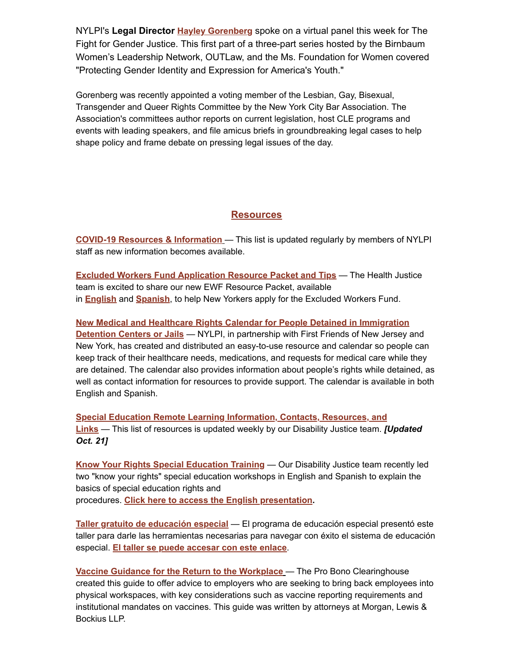NYLPI's **Legal Director [Hayley Gorenberg](https://nam02.safelinks.protection.outlook.com/?url=https%3A%2F%2Fu1584542.ct.sendgrid.net%2Fss%2Fc%2FatcYNHk4Eh2YdGnwBh-YDB7vXk7eB9bEBiBesUNUTX0m3lB7fVFvDPlqLbwN57yokhJM2y6SBtsucUSGtzFOLouP21eLaJSCuCynoQ_jEd_ViEv3uT5AO5fmE11K7IvH8ANH3MPU4_s_JpGnsZoti6b0eP-RpBPzk_8P5rd77ObJKeS0dTfw-OqjQ2xRALF0u5b1_60I8hOGHTk2_EFROM5c20iBlweaat71W9_XmSrv9CHDkrkjJkA3DorT_HqBN8ljwuLXcJppGZzN8nN41KPBghIxoahRE_YYv78Dprmw38mw1CkBKLg5clrJuDNOvOyb_nwvZ1v9Jyor5fkmSn9YuHUInlZ_P1-BZFpRZuzVqCwxD9-_FwpdM2IDzPxB7JaQ2qamo0D2IfRBdlzzydS85ULjMsVG6yeKMDOaMq5K11POdASA92vFfgmutvAKX6NJ57T51c5BFQDeqol0t2MKUvAiWHTUgLaWcL6bsthCIx7GKD25Io-0gcGQEUlieswpVmjwXBweHzm2HHzo09N2qjKULleNLQMcV7g7GwfmuJmMDgziskipLMcEvXWAbDpKenyQGnQglDwzo6bID1Myv2uXF-F2ItmZPcAJPtswi47izon4rQOTTj4HuzNyvozPRTnfxxTgMlJ6s_etv2CzhYzBtTEqCJ0reiEz0xXBVmL2QjvF47HgSdVBeL_M%2F3gd%2FTB8d_DnkQjaR8FQpvc307w%2Fh26%2Fuu9ZJidHoNDz5H__3W6BGFyE0ibsC0HxvNdvHs3oTXI&data=04%7C01%7Crmc277%40shp.rutgers.edu%7C0f7d74274b164f928f0608d99553c0ad%7Cb92d2b234d35447093ff69aca6632ffe%7C1%7C0%7C637705009567045315%7CUnknown%7CTWFpbGZsb3d8eyJWIjoiMC4wLjAwMDAiLCJQIjoiV2luMzIiLCJBTiI6Ik1haWwiLCJXVCI6Mn0%3D%7C3000&sdata=VCRhBaKN2dqsrjXx%2FNjSu9KFHhiF1SystYz%2FI1vzRyg%3D&reserved=0)** spoke on a virtual panel this week for The Fight for Gender Justice. This first part of a three-part series hosted by the Birnbaum Women's Leadership Network, OUTLaw, and the Ms. Foundation for Women covered "Protecting Gender Identity and Expression for America's Youth."

Gorenberg was recently appointed a voting member of the Lesbian, Gay, Bisexual, Transgender and Queer Rights Committee by the New York City Bar Association. The Association's committees author reports on current legislation, host CLE programs and events with leading speakers, and file amicus briefs in groundbreaking legal cases to help shape policy and frame debate on pressing legal issues of the day.

#### **[Resources](https://nam02.safelinks.protection.outlook.com/?url=https%3A%2F%2Fu1584542.ct.sendgrid.net%2Fss%2Fc%2Fc511-KAjM3jU_4OIFtitbRIkaFOEhiNObH952dpTxj1ppEA9t0yiUgQqL-_qKuePrVuPECoRuX-YsNEmT7sDT0Bz2CA92ICKVCLbVYW4oDnWjiceeZjQJ2YuDzliIBH38z7OvptCOuj7Z778uGGGwnFNZCcNIRfo3BAl82iMfgoiQHJEjyJDfEDrmarYQK_NsZT8yMAnFIvCR5Q3AdH4_2nIF2wVMv8RAJDyKWsFmLxMWKyJZvO1-1wOEB_3858mlzCYFBlyuVl3zX1GeyCrxVX6z_MfEFSqUIf0tU8tI43FF0jK0D54QQW6XpSo1odSKFZdnNNc52Vu_-QfC7h1Whao7xREfEAUprIXOSJzMipFXcLaWJhuABF7C-WNSFWbL5HJtQ74nq_0P7mBge7Pzv-R4gSg6lCaWrM2IxViu8ueOwlnpuZZxze8iwK-oRWm_zfd92kqLh_fK8XThbmou7YEW0DIdKj6RiGh4ycuh9RYmFnLGnXFC6GFcVVJ8-vzT3XR9JCymp4U8V0RIYVhKHs4jRS_Ua6QthA6XwB6n9OvM0phJ1NbeIAnmGp7o9AvJKHlD60KRAixSuB5ODWfVoFXP2FX6tpDVFBNnRbdH7LQLL4KnFwtdk4hhRMfnZMhf4jXcal2MyTgYODjZquw4CUvbV8B7DgEgLCyWEQ28yc%2F3gd%2FTB8d_DnkQjaR8FQpvc307w%2Fh27%2FOg6ulQTVa68T8yKU2-_LU1fO5kuPn_GaYDucDuFyvO4&data=04%7C01%7Crmc277%40shp.rutgers.edu%7C0f7d74274b164f928f0608d99553c0ad%7Cb92d2b234d35447093ff69aca6632ffe%7C1%7C0%7C637705009567055272%7CUnknown%7CTWFpbGZsb3d8eyJWIjoiMC4wLjAwMDAiLCJQIjoiV2luMzIiLCJBTiI6Ik1haWwiLCJXVCI6Mn0%3D%7C3000&sdata=6KmHMCy9aGOFBkhgUyzeUQ8f%2Fk59FLffQzpXzOBhHh4%3D&reserved=0)**

**[COVID-19 Resources](https://nam02.safelinks.protection.outlook.com/?url=https%3A%2F%2Fu1584542.ct.sendgrid.net%2Fss%2Fc%2FatcYNHk4Eh2YdGnwBh-YDN7YmTF63ll6X6n82crtvfu3CvH2A9O9CCaqd4b5dp4LZeLjjWe2VEOdQcybP9NyLg9F34ZpeDtl36bHlo37SYlcRtx5DRwjtkcYlv3vxCBe-KH_ZO1JFob6agkRjaij8n2b6YI9IPg6epS4pcbAB_SioXbzsUGxbTnPJ8UJDtu2PqHuzIXVC5EKfZj6kJFKkAFKxJkPptHGotq0G606xcFHHvUTAu8sJlhvo9b74gjkeZaVdLSciM7XDofffs6cKHEBMcYEPlNvpWTpeUF8o4Zq4P4zOFVQIpDgSlz_NWxs_R3G1aUcRVDC8BtVI8h6lkI-rEcWOroVtXIDjCkUK8FFzg_tze580_dC1rrnXh3HJm1T8ms3ZGfAJi-xqxoyzu90-kDhnfd8oA-bebprmxfITaRAV0iMLBxcbTcPNFFI0k2PrBklo2vTkVaTClz_Wvfu0vmWxnGnRFx10i-qko7yd0pzyzwTzB1DvhjDJvG4d97Jze3DJO_WFSPDLyf9Zmm5A6WR3CuZx_4nt-42HGtWsWwnZW1eMKSkw-IaqzU1eJdJ4mnTnmVwC_17YiPqrs0OuK00hjCMY0RLvskyJguLETCQwsCdlBI3Oj4gKJemj5eyvMdpRFGlum2RWgcO9XAjoEKl0TCM3vs666UtUrE%2F3gd%2FTB8d_DnkQjaR8FQpvc307w%2Fh28%2F-CRmr8oiZ_1Pd52li0ZFpZDlX9AfskqREECshUVObGs&data=04%7C01%7Crmc277%40shp.rutgers.edu%7C0f7d74274b164f928f0608d99553c0ad%7Cb92d2b234d35447093ff69aca6632ffe%7C1%7C0%7C637705009567055272%7CUnknown%7CTWFpbGZsb3d8eyJWIjoiMC4wLjAwMDAiLCJQIjoiV2luMzIiLCJBTiI6Ik1haWwiLCJXVCI6Mn0%3D%7C3000&sdata=dpBE7PGxg2KUud2UWpISMgpRr9z%2BIN6rg5JkVaiWEmM%3D&reserved=0) & Information** — This list is updated regularly by members of NYLPI staff as new information becomes available.

**[Excluded Workers Fund Application Resource Packet and Tips](https://nam02.safelinks.protection.outlook.com/?url=https%3A%2F%2Fu1584542.ct.sendgrid.net%2Fss%2Fc%2FatcYNHk4Eh2YdGnwBh-YDHd9SJibiBPUa0KD8YPuy7Lvk8PHtEEmQdC6VbRDpLcBUfJJ5ldJ5be12P6QDB0w8vOBqgVtYyXeavzMgvb7vcpn7o7uDevIUq18SvS2Q8LpA-UWo56v4bzcYS4lTgNdyGMeHMWQxKOBXjeIEcMOdyyFCdrIdlJX47ncLKBsFqs8DjpZ_mYW3j4fgNgn2o4u_OuqfK8PWT7v7Z42QtweSlJgqBwOqxoP-AGhjUF2vLXATIFFw56Nabmb7KjuSTaqcaXmjR7Jvjm7-BRkJfGTI09B24xyMLmyIdruRZM9VJT0ondaADDwV1zsOBTAlm8eaYX2xlBwXjSLdsCzvsnstiMHt2r-VirEqTwbPynWElKelg4eCt-IJH9vXEIo1sSqCtYTLK8_vUjBvRGzJZ3Xi4AOeEeslNcLuVTGajfP_IXkBKK0oDryyQVkkuWtThTXymtwDsyh8weDC6YN7R61FkcD8d1OcY9jTEr-ZD_6DMd3hnym_lUTTIUcMxoVhXznov5--2Ub4aMw95Ar2ZBL04cekDg7-w0UHxdcLu9u5mtg8VIkvDf1x_X6DFjFzkK28zlIwtnpr4zC9LjYzKoKlOf6bCa1573LWZlNFbAsIN59a7HEDu3ohRZ1dwVYPDuch88CGAlDCnjO_QlVyp_cPLBvYsGs7cRIrq9BFTeufzw3JhZRk8BIod_Me3LOydR1gvI9e8WqEqHARTKTIz_f9m9kukPaJSN8o6iB2Y--uM8T%2F3gd%2FTB8d_DnkQjaR8FQpvc307w%2Fh29%2FGVF9tSur92Il4w7fEvfmBgkVyHhptvQZ9zQ17VjRpXc&data=04%7C01%7Crmc277%40shp.rutgers.edu%7C0f7d74274b164f928f0608d99553c0ad%7Cb92d2b234d35447093ff69aca6632ffe%7C1%7C0%7C637705009567065228%7CUnknown%7CTWFpbGZsb3d8eyJWIjoiMC4wLjAwMDAiLCJQIjoiV2luMzIiLCJBTiI6Ik1haWwiLCJXVCI6Mn0%3D%7C3000&sdata=csoWtHvzuRssUrQ3DujfUTk685cjKaOBEnxdG0lLkSU%3D&reserved=0)** — The Health Justice team is excited to share our new EWF Resource Packet, available in **[English](https://nam02.safelinks.protection.outlook.com/?url=https%3A%2F%2Fu1584542.ct.sendgrid.net%2Fss%2Fc%2FatcYNHk4Eh2YdGnwBh-YDNsp4_aJNG3Gz1fmg6du36CzuCXLlQnqopPRG-23aIWTkN0CUgVVD1uEPRQPVvLojqrzILECSFSTU1vyD_oQ3b256WoPe_uH8fkkuahUZI9yQjGTq5qmHpDuN7ZhmlZvJ4p6laHASnvqb5UYmLLRl80ZCPnlEn5CE5Hgvq7Bci0hKp5nHkVwh0yIaAzZLuEXM6aesagZpxnP5DpB-8yJ4NkL4m2xzEou2vw-D9AFTzKg_cWbCZrsgBhf8LV5sJjZv-0Kbn-g81G1PmJ7dVART-xIKRmyNYm2d_KASfGCJpVz8gacrw2MEnYQaYaIdiQU4pdoCUFsUsk0fQbMorAzEp9SCRLldaVlJwC6RzJs5rL42_A2a-p-YCR19Lekdtz8Wadvue_CVwqlk9YlLHEjBBNC2OyUGVOz1ecK8kKJ7HPPj-VrS-nDvUNzxP7M84kEeNTHiDgH57GLfMzWFwVBkIo482AZ8ewKvDzq9CKhxY0nqcQ6BzLGXBRj6veNXcyUApDM77DecjPMDDFQRmnOQKHG5SIGZn-vIYkBPZW_LMhTIpyM0M8CEeZBslVKOl1yBDUrRHHX4S5rU97Z7KGUoUGjHgiujLxw5wK7fSBfQJpLz69guyxqg_NCT83etUw3CtdcptdIVPKuwv5foh5o0GjTVXaexCQeoZepMJoUnCWOGH6gfyEP9DeLiOEjBuMqKQ7f3OUo6weeoV7mBPDVKgw%2F3gd%2FTB8d_DnkQjaR8FQpvc307w%2Fh30%2FpxM_EtfAU9hc85tG3UdDqA9oFjkKyHLQRu3rn42Q8j8&data=04%7C01%7Crmc277%40shp.rutgers.edu%7C0f7d74274b164f928f0608d99553c0ad%7Cb92d2b234d35447093ff69aca6632ffe%7C1%7C0%7C637705009567075183%7CUnknown%7CTWFpbGZsb3d8eyJWIjoiMC4wLjAwMDAiLCJQIjoiV2luMzIiLCJBTiI6Ik1haWwiLCJXVCI6Mn0%3D%7C3000&sdata=lwogSQIgYc39qvNqe1tZoCRJIKIUWHJ3uPL5IFAimC8%3D&reserved=0)** and **[Spanish](https://nam02.safelinks.protection.outlook.com/?url=https%3A%2F%2Fu1584542.ct.sendgrid.net%2Fss%2Fc%2FatcYNHk4Eh2YdGnwBh-YDNsp4_aJNG3Gz1fmg6du36CzuCXLlQnqopPRG-23aIWTkN0CUgVVD1uEPRQPVvLojup7HB-UJkQxhuB-dWDY_MmHhOPdOsaBBrFvR7EQZCLS-dTWM6lqQ4LXpXVDBfF3JUY4QSPhdXGNvg4_c2Zm0u5DAOxLrczMO5CDSjNbjIbpTgcfMTNzjLAwQjXxbdHTW5HcpCFK32qsQe6QzxvurYjDTaHdVB5LR-Xl7uTTQV_ZLLLV27MLqKI_NO7yF768HiIA2qCcjalFIFAwtatmrWFuo6eHmM2Gsi4URGkSmC_nFs7RzoK7r65_vofc_tmeqOhlCWjAd0UKI9Z_Twa70sY8yJk4BYmlIb5ovsE4lLCf_mmg0CbELVNgFHhhTUSwwEWlLg_L9OwYJsB1RGcA7dSZmbJCYmGne8IEoOk6cfjVwgArLG8Y32VILP13R65hdZwnrdamDJhFTbUwBfme6ZWnSsrMRL6_VhH3KcP_ZK8VVFzF7Qq8-ynH5M9FVhx_5LRG8ifw0kfN2jJoWuwY6WkGVSBaLASCz1qozd5RE2DpM2bEbVbobU2SUv9XWghMC2SJRcfvG8TrkWaqD7L02r8LR1FeCqyq2Yc1IRUfSd8v17S_uLyl042wa30fi4ewplTEVdyhIUFGXQy8iwAmvT5OFlCg0g9gEXjUp1EFU3lwX10hCBrnrL5FPWuKBu3NBKkaqz3pEx51qbMWXBeZA-U%2F3gd%2FTB8d_DnkQjaR8FQpvc307w%2Fh31%2FL9BvPWWLrSQUKrg1PclKD7HgV4hoqUkHEGqaMagp2qU&data=04%7C01%7Crmc277%40shp.rutgers.edu%7C0f7d74274b164f928f0608d99553c0ad%7Cb92d2b234d35447093ff69aca6632ffe%7C1%7C0%7C637705009567075183%7CUnknown%7CTWFpbGZsb3d8eyJWIjoiMC4wLjAwMDAiLCJQIjoiV2luMzIiLCJBTiI6Ik1haWwiLCJXVCI6Mn0%3D%7C3000&sdata=bTUMoTJo%2FblqzYuK9WymwM%2BWCHWUTwR1wwdDTRUD0Qs%3D&reserved=0)**, to help New Yorkers apply for the Excluded Workers Fund.

**[New Medical and Healthcare Rights Calendar for People Detained in Immigration](https://nam02.safelinks.protection.outlook.com/?url=https%3A%2F%2Fu1584542.ct.sendgrid.net%2Fss%2Fc%2FatcYNHk4Eh2YdGnwBh-YDApUARB_ZsWMqeTfMEiLPQObC_rz3_TxdA_TeFL5a3wrSiLdUVJ--2zzU8WHZrxdnrkDPNSEwC5VPXeATi--NrJSVkK1V1FpMQSs9whRpOoXfcT3eCQvXWFQ_MM9Ozq9t09BHEko19FSJyqxcTh7rQIiAFZraIBp4yukcUf7M373DWUSUjTXNkUPv_iZmuZnSkChSWkLAKxD6rFqSChUazuvQ7yJTEnryaw2BGNfstiv6eNzJ9NVBaBYP-L5wUrqk-0ydHN7iwrMKRVgEsUK3jtanb6kgUQrqnB5WwzGY8ivMK388IdByuvmRNTIwGU8mz4Yg5f-eHGeJDEC2MSKYUvSaY00ovu9nbl3FeQ-ZujyyYHYM0pSO-mtwXDJRIVBUJeOUzDr1l6izKQ79YS1tCIj76gKuxyB5F9rTstx-LaFmjzL24JMLSAYKDg1cx8KSXuNA8jvUWDvtgeVNnf7iF95_42QkEpBaSTV5z-j4_StNX1Y5e3Ufi1zY6Mb77R-KRW4fL7xGtBAZ90Kx21CHpBGDYCXOuAkl_3nV_fCjvEBv_d9jRxfcAJyT7r8THJptba2jmx22BBNKHtu75uIs_zoECspq6tiKipb56PXTaevlYFsSs8oxwGyv7X5X5DZ8eUNza0P987YFiN3OA34kM09LsszNzpN2SLWFy69k1IHZ7afVes0hQHF7AxN08ZXDaHxzvJ1sUu6oIgiiQbOIalu3-axilPiQsVgJRXz7m4IA5rAUpWuL5Vy7lvcypdAFkN_C7Z5mk9OxXh0sjPUWt8%2F3gd%2FTB8d_DnkQjaR8FQpvc307w%2Fh32%2FWydOU64D6POb2XW67Rq9i1-mbpbjhWIqR-3MorkJp-g&data=04%7C01%7Crmc277%40shp.rutgers.edu%7C0f7d74274b164f928f0608d99553c0ad%7Cb92d2b234d35447093ff69aca6632ffe%7C1%7C0%7C637705009567085147%7CUnknown%7CTWFpbGZsb3d8eyJWIjoiMC4wLjAwMDAiLCJQIjoiV2luMzIiLCJBTiI6Ik1haWwiLCJXVCI6Mn0%3D%7C3000&sdata=b79mNNYvqagxOHkJwUHuLtDSc3AzAvy38HQaiXYiIZY%3D&reserved=0) Detention Centers or Jails** — NYLPI, in partnership with First Friends of New Jersey and New York, has created and distributed an easy-to-use resource and calendar so people can keep track of their healthcare needs, medications, and requests for medical care while they are detained. The calendar also provides information about people's rights while detained, as well as contact information for resources to provide support. The calendar is available in both English and Spanish.

**[Special Education Remote Learning Information, Contacts, Resources, and](https://nam02.safelinks.protection.outlook.com/?url=https%3A%2F%2Fu1584542.ct.sendgrid.net%2Fss%2Fc%2Fc511-KAjM3jU_4OIFtitbRIkaFOEhiNObH952dpTxj2_0NeoEWI0K1-YCIKyYT2-7-wQc1Ulw6TFl0RykPxDWeycufONksoMxWnanBfE0VeNjNa7rfFqaCbqGIOuLXYv0mnkJ8uDGuvAx825IEAuAvC5NpAwsg_9U-ZL3n1cMqt2wkYrp-KPeW4Tr_KKTT7d9DHe9mRb2hftDgVwQ0Z9qE_hsNkMwfHKvU-tAGZyf3t7HlCisNtH0_o9iEtuU2GHU2HSz5CSJQKrcPu5tY4GNLpm8PslKPjh1US28_5WWRKyKwuzFhCkOuwHYv4K4p6pjYxypuFIMAahXj6Q_g_VCFIQbnM802UfWjqdbINYqOaVRsfFq7SEPnIyWckvDcbyehNhNpleoANp9lBsI470cne8HYubqm04mtE0Ir4Bw9NS3DvHzRO0lVHsFr5MPfJVSGpEBozB_Er1vFbs_SipCLdFk9VZC8aKzT3t9T9YwlQNzAUZqknW2Gd-_mra6rHzC25ya1rPr5mdF4ZZbq-TZ8BKjqpM1O8ZzOUrsLhG1_TGOR_B62OLMPvxU273gW6alCnXq0xGCArN3G-llsgkt7tcjvSosF4XDqkx3_fSd7XncFYvuNNT5qeOURzmYF09FmdLjJG84KTCMACxdQQWyFBIx090PNu_SxWxOcekcJcmjWZgJcyRn0CBTxLkmqxZDqrSvYZy-7n7GG3eT4fFD9LU0sp-BKX1wZArnM1dgN5G4k5Zvxy17eYZ_yCjQHne%2F3gd%2FTB8d_DnkQjaR8FQpvc307w%2Fh33%2FimhlFXhulWw3nEg9b8Uu9t6Z7fRJ6EO6kS6d2LFECaM&data=04%7C01%7Crmc277%40shp.rutgers.edu%7C0f7d74274b164f928f0608d99553c0ad%7Cb92d2b234d35447093ff69aca6632ffe%7C1%7C0%7C637705009567095101%7CUnknown%7CTWFpbGZsb3d8eyJWIjoiMC4wLjAwMDAiLCJQIjoiV2luMzIiLCJBTiI6Ik1haWwiLCJXVCI6Mn0%3D%7C3000&sdata=CUCig%2F1mf2SDbVuKhZW%2BGHeTAd%2BRs6ptV7%2BZWk%2FIZaM%3D&reserved=0) Links** — This list of resources is updated weekly by our Disability Justice team. *[Updated Oct. 21]*

**[Know Your Rights Special Education Training](https://nam02.safelinks.protection.outlook.com/?url=https%3A%2F%2Fu1584542.ct.sendgrid.net%2Fss%2Fc%2FatcYNHk4Eh2YdGnwBh-YDNsp4_aJNG3Gz1fmg6du36CzuCXLlQnqopPRG-23aIWThz6MuCng2H2qN-gkjN696CHg62srNa_I0LHeLxJW4VuQ5YB77oc3MQjuXqE96frVO2DeKo8GletbM3ivdV6OEckc3rAh0HO8RpzC-w322QIvDW2yf4Gn6HDwg6h_6jgi3MAlPEfq1V_BCVB8HB_XsU88LKxJyt8J3ko8D0CyCk_X0okufbkLJreul8pLLuMIgRInnqHZxIPQGkwI5Xbm4pUQc0vtSzuIZEjb3higUIEY0qsNFUC2CZ_LNbKmyP8j-HU3R6IPLAStB8aFy98tXleqAcBrctn4MY5qz1Q-35t-_stvp61cOh_cwSevcnfoGH1xfWY1Z3uplUo9OUfsAXnEk4tg949w2ELRJa6zIUS6sPR1uDRTJVDZjJ-PiqDVOy9J60ORFUgSZhUyA_7RfqZ5DMhv-S67Sy3NkZtpeA9uNLvAB5Qbsyr8cywOpLer3M-m9xF6ym9-YOvN352C2oVMTf3On0G_EtrPl2syjbRPFmBErEzlvXp7Sb-8ESlKTCkVckGqwM3el0q-M6ggBoOBvIsNlcNUQFgRlNW24MvNsKnGUM3WVpH8iegOrjDDPLbkOUde9XBovbzdtavdIzXP3yyPBzQj2wi9tlyJQWEGiFCm-Ed8ZaT4i6jVEoyM5spSjyMf1AIUGsCfPXPh7ZhCtqiHmRzDgujTQJjU7e6PqDccXA1n45wiZkn6N97wE1_RgyamyWh7GDtQdtFnJw%2F3gd%2FTB8d_DnkQjaR8FQpvc307w%2Fh34%2FmV9E83ebOjqf5rXIKGyg-egrtKK1X2ExpSZt9Bi1QjA&data=04%7C01%7Crmc277%40shp.rutgers.edu%7C0f7d74274b164f928f0608d99553c0ad%7Cb92d2b234d35447093ff69aca6632ffe%7C1%7C0%7C637705009567095101%7CUnknown%7CTWFpbGZsb3d8eyJWIjoiMC4wLjAwMDAiLCJQIjoiV2luMzIiLCJBTiI6Ik1haWwiLCJXVCI6Mn0%3D%7C3000&sdata=EuJOpDa6xkMZkWmV1aLfFsEas6FHz7ljKkvZ%2BlPplIQ%3D&reserved=0)** — Our Disability Justice team recently led two "know your rights" special education workshops in English and Spanish to explain the basics of special education rights and procedures. **Click here to access the English [presentation](https://nam02.safelinks.protection.outlook.com/?url=https%3A%2F%2Fu1584542.ct.sendgrid.net%2Fss%2Fc%2FatcYNHk4Eh2YdGnwBh-YDNsp4_aJNG3Gz1fmg6du36CzuCXLlQnqopPRG-23aIWThz6MuCng2H2qN-gkjN696CHg62srNa_I0LHeLxJW4VuQ5YB77oc3MQjuXqE96frVbwAWZbsBgcEF_HCI3JzelK2zRifhSeGX-3IoflgKLRLALyZGGO2gS7ibOkBsSZnOAw85nYRw334O6Lnb7_zOES_09psqvlulzDOAU8YnoZuc7bBEpt7mOI6ZmSzheNzioOK96YV0QR2bZtSFW_zz0NsIi8hFAWnFZCwOfJ4FHEczQW6W3j03MviMwURjPp4UHkxXf82c2y3VR2NbPOWGXhfhJhu4wPUtxF23Xiag7MinmXLeCA5xscChuZWMzzommH6z-WBURHmUuGaQrXUTWxEPrVAndeCmKHzni1VYcE2ayXa2WOYPYNVO0n3eEC4o8IYR7P8SaYrWWcEiwmCX7onp8iylrOnI-yA2bEofpRQED3kBW7EHovhzMaYcET7ypmSVmMt1Q55unJ0oKg3ItF55XPN1QJJSAfjgOVyZJP4h-UMCw7be-7Ook9z7vxo3Au19EA9gItUeDMyMrRRJkl9MT_vrGRVzQ90cm24l2H3oljHklA5TsErxfCTZw35MoK77U74HVcFyYzm6PXquz23w1id4Emrqfq_S_EX6jGlEpg-21LGEU80jz7aC9FRVWI5m2fwoPaQd_iVxISpwP6nDxD5loy4XsoV_9gcMc0n-EeOzS0XB5ZY-_gz9yfGXx3cFjW1VmHhPw8fY5AUW0ZTTRe5ckbUgsUyDGH-WPe9i14NULrvwyJqXGeyOtIMoMmnuUFhJnvBiH6aS1k_ew0PCn7daLnlKcRMqjE2uFfwNckv2Y4_gMZzvrR4ao8v52drpYBVGlgDc7ylgMBm6lQ%2F3gd%2FTB8d_DnkQjaR8FQpvc307w%2Fh35%2FudkSUJJ3ns3XZnh6kFXi60O9bc8szKDhgkSAB76CQh4&data=04%7C01%7Crmc277%40shp.rutgers.edu%7C0f7d74274b164f928f0608d99553c0ad%7Cb92d2b234d35447093ff69aca6632ffe%7C1%7C0%7C637705009567105049%7CUnknown%7CTWFpbGZsb3d8eyJWIjoiMC4wLjAwMDAiLCJQIjoiV2luMzIiLCJBTiI6Ik1haWwiLCJXVCI6Mn0%3D%7C3000&sdata=XaMzVJ7ARO1GJq9RRHyowD0gDbICJqAx42boTUYqG30%3D&reserved=0).**

**[Taller gratuito de educación especial](https://nam02.safelinks.protection.outlook.com/?url=https%3A%2F%2Fu1584542.ct.sendgrid.net%2Fss%2Fc%2FatcYNHk4Eh2YdGnwBh-YDNsp4_aJNG3Gz1fmg6du36CzuCXLlQnqopPRG-23aIWTplACOHuGaFERynPePW1NY_YF9A-4sHfScvcU9OxA-IEzeiIIKyNlAswevmRx83McDRHNWMJpko5cM5TXX0R-CxWdlaVO11t6v_Yb5bvxgUE1are9PjkxmWE01T9pxsMC6ZjuRYVM7oMJNuZf52z136PIbncUorsCycm0sjgcxSXKN71RyoVa1qbvSgkHkWIWbqoVsiWohIkc6lW-bMVd0M8NfIHriBH4ZbLhUyGNWkvjAI6Ko_roqcgvmtyBWUXFRaRpq3XbcLvrVYHYumB169TOZCn0tpz5OUD0p4AHrnmMTBsRROLLBAe2_X018xIsoT0yWHo4MPog3NfzovkDSiH-DJN4UNl6Ok9OBP-3Gnw8I78XqCEG4rX4SRrFdtsML-hkkYWq0UQxRZY0GIF6IOW6g5-atjnMNmRS0wiAoc2GxBrU0iX27IQSKYC1oYkuRchqqY5IRCmdMIERJifmWzBnZ7PkIo5yPBN3RmuvwXytibQonVpnQ_EZ5xcLu56uni3TA80A8wprOyxZoiFZJCJxq3UZ_ZKUROwq10JBIYCiNjD--qpLhTIFovGY0OC-TDPrSXreFda5XcpRJICIqL9NX3SU2QNRo_aq1N4VokgLnaYbJPNVtIfa7jOFtr-d_EowmPJTRc8YhuvblHCJdyomngdirsURcVV7zFTOzJTpdK7sYqeQ5QQDhbHGyuJg%2F3gd%2FTB8d_DnkQjaR8FQpvc307w%2Fh36%2Fah-8P2r-Fwb1O5TE6ftQQYdS2sgczteycoh2oZgmR7c&data=04%7C01%7Crmc277%40shp.rutgers.edu%7C0f7d74274b164f928f0608d99553c0ad%7Cb92d2b234d35447093ff69aca6632ffe%7C1%7C0%7C637705009567115006%7CUnknown%7CTWFpbGZsb3d8eyJWIjoiMC4wLjAwMDAiLCJQIjoiV2luMzIiLCJBTiI6Ik1haWwiLCJXVCI6Mn0%3D%7C3000&sdata=eMkdiGwHg%2FFwSh%2B8Blvp%2FviMAuUUVp79f3%2BU5BaZBas%3D&reserved=0)** — El programa de educación especial presentó este taller para darle las herramientas necesarias para navegar con éxito el sistema de educación especial. **El taller se puede [accesar](https://nam02.safelinks.protection.outlook.com/?url=https%3A%2F%2Fu1584542.ct.sendgrid.net%2Fss%2Fc%2FatcYNHk4Eh2YdGnwBh-YDNsp4_aJNG3Gz1fmg6du36CzuCXLlQnqopPRG-23aIWTplACOHuGaFERynPePW1NY_YF9A-4sHfScvcU9OxA-IEzeiIIKyNlAswevmRx83McXEwJvuwr6omSkNZ2QvnVNG9mKL9ABZ3CHuyK52zRK-mC03dmhEw7lUa81QMjqYPCe4-7uRod7Q5HR5hunfHVtJQSNvie6JdImGQ0tXkOEqENRhvzRjF0uxW5ZU3FmklT-Fpu-K9xmJMWilzNuK6so_gcSr__myX9Wz3LJbG3WD23jnFvvIcyZXuRwo6Ex3RrUK8B_tjoK6k0mPSh9jT2qFdh3eKtJj5TPCxCOr8yK7deqM4xUaqJIRk7ybUyO6qfIKJnJVo0MDcdmpff4R3lPsCJ5odg8_5OJ-mhbhLZOtZSjgB7O-rqfrccjmjZV_FLqKrjqqjHniSnWIOZ-RLR3LOYgqMvxRNUziHvhKYZZbq6u-MEReIniUEmgokJB2yVgnFCOujpU4XTTBJakEzfD6h-mVSMO40eKYI4zuXxzwr4xNtFAK4VFMjOuJlxtbanigUNMgblxkV5ud-kBkZ2uyQkgOE8Xr2Ck5fdgXbeIyVTMCMwco1h5WsEwCqa3R56OmpNfP_WRVriJwh7m6luHeXvYoEnZ6UZBJwHNkm01WcK-wiWrQ8JpvqsA9p9M93axRBgmGc_-QIrXkxBu0yUmvj3ORTJ--qgp630doABNHd0wfhSTbTRNOe_kTeqNITm%2F3gd%2FTB8d_DnkQjaR8FQpvc307w%2Fh37%2FhqCYnhviIWfne5lty8pcPNRDsLvz2k4ZfeL5-AJYirw&data=04%7C01%7Crmc277%40shp.rutgers.edu%7C0f7d74274b164f928f0608d99553c0ad%7Cb92d2b234d35447093ff69aca6632ffe%7C1%7C0%7C637705009567115006%7CUnknown%7CTWFpbGZsb3d8eyJWIjoiMC4wLjAwMDAiLCJQIjoiV2luMzIiLCJBTiI6Ik1haWwiLCJXVCI6Mn0%3D%7C3000&sdata=7ho0GlTNr7hNzVHvPrk10XlUqbMIlcrQs8iqynnjB08%3D&reserved=0) con este enlace**.

**Vaccine Guidance for the Return to the [Workplace](https://nam02.safelinks.protection.outlook.com/?url=https%3A%2F%2Fu1584542.ct.sendgrid.net%2Fss%2Fc%2FatcYNHk4Eh2YdGnwBh-YDHd9SJibiBPUa0KD8YPuy7Ka3eQD_Q92jb_bXYu2FfoUxVRykgoGeOacs7CxUoB9qtBqlXlPE-XV3mo2z8CiM0IFDamV6kfcARqtiR8jy8ViN7UcCvPbu8Ijbt04qdsIbEw3qCcr2326Leoz4ZZtLcRLfZx88ZvgZRNd8UUahFyGC2tLe4HB40PLWQwH7DJxK_octzokkFyzND6BVK_JxILR_WcpkmVaxU9co9jimZZ5xfsQIszM8vNuXUJeOgD5Vr7aKpxggU0TcOJdHq0nTK2kOTihb4Lodyf8KHOCegVDcmiL22q-QyQnAKJfN02I0Td-TrVP1hBxRoN0NKbum93plwZ8DDHw04e0thq3b0v840gDJvWav1HeesT27xLdomTUR7Hz-BUEk7em_xwg63wVvM33GFAOFi11J_ASGMkyXRj9Q2apZjxtw8VT8ZdDoCcyQ-VT_pNPEayuYNQB0ZUm8HdU_7hYuKbJF2mywUc6cVYiTy7pU-NfdQrpXssMzZ42qs3eM1dirjFP-xpfeQHjSc0U-QOvLCXd18432c02_eGqNDLBkZHMNiMHltMnFtH-JY4qUeokfZ1MQOaVdsP6pHhpyyPsGDDWvazz6nndUORiu52UEHW3Jl-Cs1j6LH3Cv5rEMjSd2lyNaFccf9GvSUOOgOYaf4rgLCfDJRAZNwodt1Z60XmdI2gsQE8E9A%2F3gd%2FTB8d_DnkQjaR8FQpvc307w%2Fh38%2FXb_0L4Fdl0lZ9h0JMT8fdEArrvZJjcRTx6McQFGZRd0&data=04%7C01%7Crmc277%40shp.rutgers.edu%7C0f7d74274b164f928f0608d99553c0ad%7Cb92d2b234d35447093ff69aca6632ffe%7C1%7C0%7C637705009567124964%7CUnknown%7CTWFpbGZsb3d8eyJWIjoiMC4wLjAwMDAiLCJQIjoiV2luMzIiLCJBTiI6Ik1haWwiLCJXVCI6Mn0%3D%7C3000&sdata=8W%2BS9nSWlJoBBbPeVwLNvHWx5aLK7WwzRc4eZHKWP5A%3D&reserved=0)** — The Pro Bono Clearinghouse created this guide to offer advice to employers who are seeking to bring back employees into physical workspaces, with key considerations such as vaccine reporting requirements and institutional mandates on vaccines. This guide was written by attorneys at Morgan, Lewis & Bockius LLP.